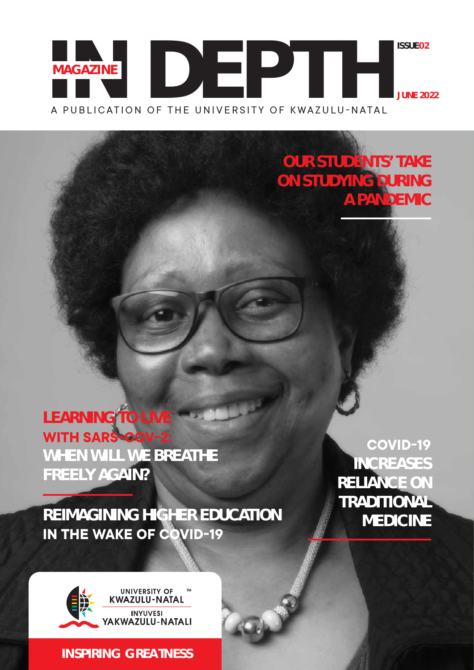### A PUBLICATION OF THE UNIVERSITY OF KWAZULU-NATAL **IN DEPTHISSUE02 MAGAZINE JUNE 2022**

**OUR STUDENTS' TAKE ON STUDYING DURING A PANDEMIC** 

**LEARNING TO LIVE WITH SARS-COV-2: WHEN WILL WE BREATHE FREELY AGAIN?**

**REIMAGINING HIGHER EDUCATION IN THE WAKE OF COVID-19** 

**COVID-19 INCREASES RELIANCE ON TRADITIONAL MEDICINE**



**INSPIRING GREATNESS**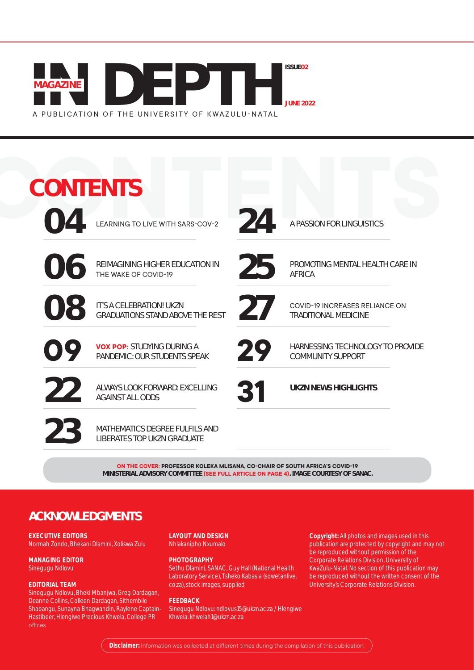

| <b>CONTENTS</b> |                                                                      |    |                                                                      |  |
|-----------------|----------------------------------------------------------------------|----|----------------------------------------------------------------------|--|
| $\Omega$        | LEARNING TO LIVE WITH SARS-COV-2                                     | 24 | A PASSION FOR LINGUISTICS                                            |  |
| 06              | <b>REIMAGINING HIGHER EDUCATION IN</b><br>THE WAKE OF COVID-19       | 25 | PROMOTING MENTAL HEALTH CARE IN<br><b>AFRICA</b>                     |  |
| 08              | IT'S A CELEBRATION! UKZN<br><b>GRADUATIONS STAND ABOVE THE REST</b>  | 27 | <b>COVID-19 INCREASES RELIANCE ON</b><br><b>TRADITIONAL MEDICINE</b> |  |
| 09              | <b>VOX POP: STUDYING DURING A</b><br>PANDEMIC: OUR STUDENTS SPEAK    | 29 | HARNESSING TECHNOLOGY TO PROVIDE<br><b>COMMUNITY SUPPORT</b>         |  |
| 22              | ALWAYS LOOK FORWARD: EXCELLING<br><b>AGAINST ALL ODDS</b>            | 31 | <b>UKZN NEWS HIGHLIGHTS</b>                                          |  |
| 23              | MATHEMATICS DEGREE FULFILS AND<br><b>LIBERATES TOP UKZN GRADUATE</b> |    |                                                                      |  |

**2018 THE COVER: PROFESSOR KOLEKA MLISANA, CO-CHAIR OF SOUTH AFRICA'S COVID-19 MINISTERIAL ADVISORY COMMITTEE (SEE FULL ARTICLE ON PAGE 4). IMAGE COURTESY OF SANAC.** 

### **ACKNOWLEDGMENTS**

#### **EXECUTIVE EDITORS**

Normah Zondo, Bhekani Dlamini, Xoliswa Zulu

#### **MANAGING EDITOR** Sinegugu Ndlovu

#### **EDITORIAL TEAM**

Sinegugu Ndlovu, Bheki Mbanjwa, Greg Dardagan, Deanne Collins, Colleen Dardagan, Sithembile Shabangu, Sunayna Bhagwandin, Raylene Captain-Hastibeer, Hlengiwe Precious Khwela, College PR offices

**LAYOUT AND DESIGN** Nhlakanipho Nxumalo

#### **PHOTOGRAPHY**

Sethu Dlamini, SANAC, Guy Hall (National Health Laboratory Service), Tsheko Kabasia (sowetanlive. co.za), stock images, supplied

#### **FEEDBACK**

Sinegugu Ndlovu: ndlovus15@ukzn.ac.za / Hlengiwe Khwela: khwelah1@ukzn.ac.za

**Copyright:** All photos and images used in this publication are protected by copyright and may not be reproduced without permission of the Corporate Relations Division, University of KwaZulu-Natal. No section of this publication may be reproduced without the written consent of the University's Corporate Relations Division.

Disclaimer: Information was collected at different times during the compilation of this publication.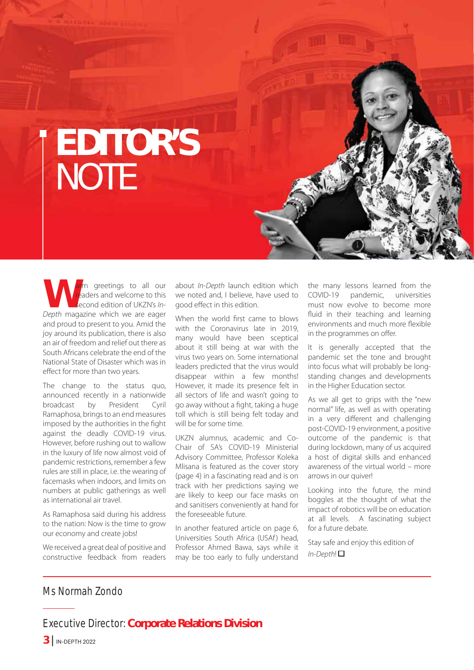# **EDITOR'S NOTE**

**WARACE STARK SERVIET A SERVIET STARK SECOND THE USE OF USE A Depth magazine which we are eager** readers and welcome to this second edition of UKZN's Inand proud to present to you. Amid the joy around its publication, there is also an air of freedom and relief out there as South Africans celebrate the end of the National State of Disaster which was in effect for more than two years.

The change to the status quo, announced recently in a nationwide broadcast by President Cyril Ramaphosa, brings to an end measures imposed by the authorities in the fight against the deadly COVID-19 virus. However, before rushing out to wallow in the luxury of life now almost void of pandemic restrictions, remember a few rules are still in place, i.e. the wearing of facemasks when indoors, and limits on numbers at public gatherings as well as international air travel.

As Ramaphosa said during his address to the nation: Now is the time to grow our economy and create jobs!

We received a great deal of positive and constructive feedback from readers about In-Depth launch edition which we noted and, I believe, have used to good effect in this edition.

When the world first came to blows with the Coronavirus late in 2019, many would have been sceptical about it still being at war with the virus two years on. Some international leaders predicted that the virus would disappear within a few months! However, it made its presence felt in all sectors of life and wasn't going to go away without a fight, taking a huge toll which is still being felt today and will be for some time.

UKZN alumnus, academic and Co-Chair of SA's COVID-19 Ministerial Advisory Committee, Professor Koleka Mlisana is featured as the cover story (page 4) in a fascinating read and is on track with her predictions saying we are likely to keep our face masks on and sanitisers conveniently at hand for the foreseeable future.

In another featured article on page 6, Universities South Africa (USAf) head, Professor Ahmed Bawa, says while it may be too early to fully understand the many lessons learned from the COVID-19 pandemic, universities must now evolve to become more fluid in their teaching and learning environments and much more flexible in the programmes on offer.

It is generally accepted that the pandemic set the tone and brought into focus what will probably be longstanding changes and developments in the Higher Education sector.

As we all get to grips with the "new normal" life, as well as with operating in a very different and challenging post-COVID-19 environment, a positive outcome of the pandemic is that during lockdown, many of us acquired a host of digital skills and enhanced awareness of the virtual world – more arrows in our quiver!

Looking into the future, the mind boggles at the thought of what the impact of robotics will be on education at all levels. A fascinating subject for a future debate.

Stay safe and enjoy this edition of  $In-Denth!$ 

#### Ms Normah Zondo

#### Executive Director: **Corporate Relations Division**

 $3$  | IN-DEPTH 2022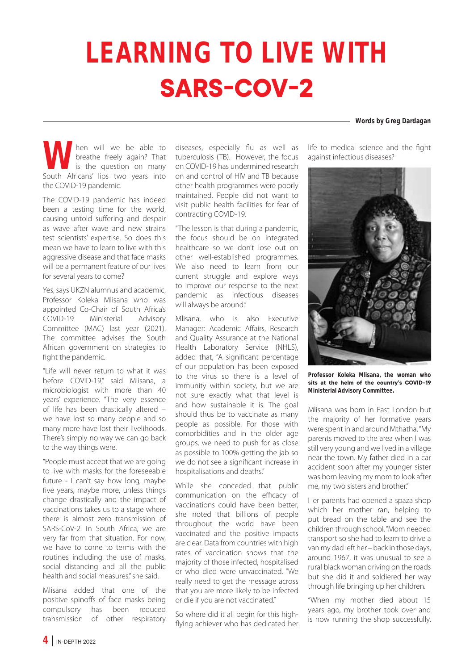# **LEARNING TO LIVE WITH SARS-COV-2**

**Words by Greg Dardagan**

When will we be able to breathe freely again? That is the question on many South Africans' lips two years into breathe freely again? That is the question on many the COVID-19 pandemic.

The COVID-19 pandemic has indeed been a testing time for the world, causing untold suffering and despair as wave after wave and new strains test scientists' expertise. So does this mean we have to learn to live with this aggressive disease and that face masks will be a permanent feature of our lives for several years to come?

Yes, says UKZN alumnus and academic, Professor Koleka Mlisana who was appointed Co-Chair of South Africa's COVID-19 Ministerial Advisory Committee (MAC) last year (2021). The committee advises the South African government on strategies to fight the pandemic.

"Life will never return to what it was before COVID-19," said Mlisana, a microbiologist with more than 40 years' experience. "The very essence of life has been drastically altered – we have lost so many people and so many more have lost their livelihoods. There's simply no way we can go back to the way things were.

"People must accept that we are going to live with masks for the foreseeable future - I can't say how long, maybe five years, maybe more, unless things change drastically and the impact of vaccinations takes us to a stage where there is almost zero transmission of SARS-CoV-2. In South Africa, we are very far from that situation. For now, we have to come to terms with the routines including the use of masks, social distancing and all the public health and social measures,'' she said.

Mlisana added that one of the positive spinoffs of face masks being compulsory has been reduced transmission of other respiratory diseases, especially flu as well as tuberculosis (TB). However, the focus on COVID-19 has undermined research on and control of HIV and TB because other health programmes were poorly maintained. People did not want to visit public health facilities for fear of contracting COVID-19.

"The lesson is that during a pandemic, the focus should be on integrated healthcare so we don't lose out on other well-established programmes. We also need to learn from our current struggle and explore ways to improve our response to the next pandemic as infectious diseases will always be around."

Mlisana, who is also Executive Manager: Academic Affairs, Research and Quality Assurance at the National Health Laboratory Service (NHLS), added that, "A significant percentage of our population has been exposed to the virus so there is a level of immunity within society, but we are not sure exactly what that level is and how sustainable it is. The goal should thus be to vaccinate as many people as possible. For those with comorbidities and in the older age groups, we need to push for as close as possible to 100% getting the jab so we do not see a significant increase in hospitalisations and deaths."

While she conceded that public communication on the efficacy of vaccinations could have been better, she noted that billions of people throughout the world have been vaccinated and the positive impacts are clear. Data from countries with high rates of vaccination shows that the majority of those infected, hospitalised or who died were unvaccinated. "We really need to get the message across that you are more likely to be infected or die if you are not vaccinated."

So where did it all begin for this highflying achiever who has dedicated her

life to medical science and the fight against infectious diseases?



**Professor Koleka Mlisana, the woman who Value 24** the helm of the country's COVID-10 **Ministerial Advisory Committee.**

Mlisana was born in East London but the majority of her formative years were spent in and around Mthatha. "My parents moved to the area when I was still very young and we lived in a village near the town. My father died in a car accident soon after my younger sister was born leaving my mom to look after me, my two sisters and brother."

Her parents had opened a spaza shop which her mother ran, helping to put bread on the table and see the children through school. "Mom needed transport so she had to learn to drive a van my dad left her – back in those days, around 1967, it was unusual to see a rural black woman driving on the roads but she did it and soldiered her way through life bringing up her children.

"When my mother died about 15 years ago, my brother took over and is now running the shop successfully.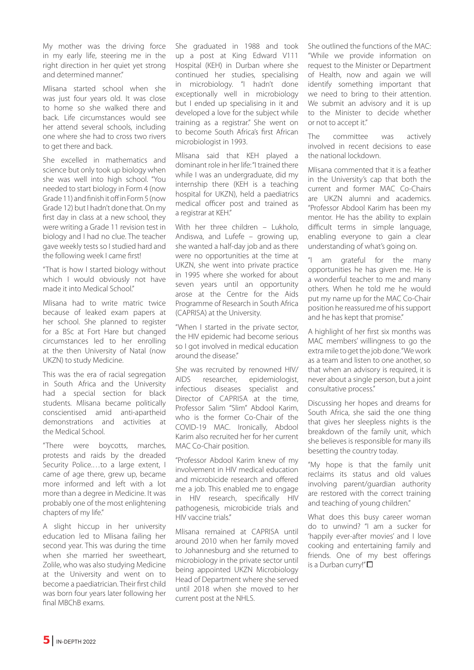My mother was the driving force in my early life, steering me in the right direction in her quiet yet strong and determined manner."

Mlisana started school when she was just four years old. It was close to home so she walked there and back. Life circumstances would see her attend several schools, including one where she had to cross two rivers to get there and back.

She excelled in mathematics and science but only took up biology when she was well into high school. "You needed to start biology in Form 4 (now Grade 11) and finish it off in Form 5 (now Grade 12) but I hadn't done that. On my first day in class at a new school, they were writing a Grade 11 revision test in biology and I had no clue. The teacher gave weekly tests so I studied hard and the following week I came first!

"That is how I started biology without which I would obviously not have made it into Medical School.''

Mlisana had to write matric twice because of leaked exam papers at her school. She planned to register for a BSc at Fort Hare but changed circumstances led to her enrolling at the then University of Natal (now UKZN) to study Medicine.

This was the era of racial segregation in South Africa and the University had a special section for black students. Mlisana became politically conscientised amid anti-apartheid demonstrations and activities at the Medical School.

"There were boycotts, marches, protests and raids by the dreaded Security Police.…to a large extent, I came of age there, grew up, became more informed and left with a lot more than a degree in Medicine. It was probably one of the most enlightening chapters of my life."

A slight hiccup in her university education led to Mlisana failing her second year. This was during the time when she married her sweetheart, Zolile, who was also studying Medicine at the University and went on to become a paediatrician. Their first child was born four years later following her final MBChB exams.

She graduated in 1988 and took up a post at King Edward V111 Hospital (KEH) in Durban where she continued her studies, specialising in microbiology. "I hadn't done exceptionally well in microbiology but I ended up specialising in it and developed a love for the subject while training as a registrar." She went on to become South Africa's first African microbiologist in 1993.

Mlisana said that KEH played a dominant role in her life: "I trained there while I was an undergraduate, did my internship there (KEH is a teaching hospital for UKZN), held a paediatrics medical officer post and trained as a registrar at KEH."

With her three children – Lukholo, Andiswa, and Lufefe – growing up, she wanted a half-day job and as there were no opportunities at the time at UKZN, she went into private practice in 1995 where she worked for about seven years until an opportunity arose at the Centre for the Aids Programme of Research in South Africa (CAPRISA) at the University.

"When I started in the private sector, the HIV epidemic had become serious so I got involved in medical education around the disease"

She was recruited by renowned HIV/ AIDS researcher, epidemiologist, infectious diseases specialist and Director of CAPRISA at the time, Professor Salim "Slim" Abdool Karim, who is the former Co-Chair of the COVID-19 MAC. Ironically, Abdool Karim also recruited her for her current MAC Co-Chair position.

"Professor Abdool Karim knew of my involvement in HIV medical education and microbicide research and offered me a job. This enabled me to engage in HIV research, specifically HIV pathogenesis, microbicide trials and HIV vaccine trials."

Mlisana remained at CAPRISA until around 2010 when her family moved to Johannesburg and she returned to microbiology in the private sector until being appointed UKZN Microbiology Head of Department where she served until 2018 when she moved to her current post at the NHLS.

She outlined the functions of the MAC: "While we provide information on request to the Minister or Department of Health, now and again we will identify something important that we need to bring to their attention. We submit an advisory and it is up to the Minister to decide whether or not to accept it."

The committee was actively involved in recent decisions to ease the national lockdown.

Mlisana commented that it is a feather in the University's cap that both the current and former MAC Co-Chairs are UKZN alumni and academics. "Professor Abdool Karim has been my mentor. He has the ability to explain difficult terms in simple language, enabling everyone to gain a clear understanding of what's going on.

"I am grateful for the many opportunities he has given me. He is a wonderful teacher to me and many others. When he told me he would put my name up for the MAC Co-Chair position he reassured me of his support and he has kept that promise."

A highlight of her first six months was MAC members' willingness to go the extra mile to get the job done. "We work as a team and listen to one another, so that when an advisory is required, it is never about a single person, but a joint consultative process.''

Discussing her hopes and dreams for South Africa, she said the one thing that gives her sleepless nights is the breakdown of the family unit, which she believes is responsible for many ills besetting the country today.

"My hope is that the family unit reclaims its status and old values involving parent/guardian authority are restored with the correct training and teaching of young children."

What does this busy career woman do to unwind? "I am a sucker for 'happily ever-after movies' and I love cooking and entertaining family and friends. One of my best offerings is a Durban curry!" $\Box$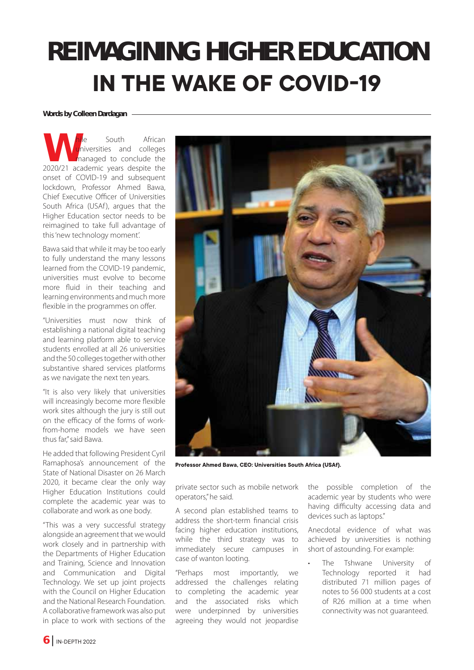## **REIMAGINING HIGHER EDUCATION IN THE WAKE OF COVID-19**

#### **Words by Colleen Dardagan**

**W**hile South African<br>
10 miniversities and colleges<br>
2020/21 academic years despite the universities and colleges managed to conclude the onset of COVID-19 and subsequent lockdown, Professor Ahmed Bawa, Chief Executive Officer of Universities South Africa (USAf), argues that the Higher Education sector needs to be reimagined to take full advantage of this 'new technology moment'.

Bawa said that while it may be too early to fully understand the many lessons learned from the COVID-19 pandemic, universities must evolve to become more fluid in their teaching and learning environments and much more flexible in the programmes on offer.

"Universities must now think of establishing a national digital teaching and learning platform able to service students enrolled at all 26 universities and the 50 colleges together with other substantive shared services platforms as we navigate the next ten years.

"It is also very likely that universities will increasingly become more flexible work sites although the jury is still out on the efficacy of the forms of workfrom-home models we have seen thus far," said Bawa.

He added that following President Cyril Ramaphosa's announcement of the State of National Disaster on 26 March 2020, it became clear the only way Higher Education Institutions could complete the academic year was to collaborate and work as one body.

"This was a very successful strategy alongside an agreement that we would work closely and in partnership with the Departments of Higher Education and Training, Science and Innovation and Communication and Digital Technology. We set up joint projects with the Council on Higher Education and the National Research Foundation. A collaborative framework was also put in place to work with sections of the



Professor Ahmed Bawa, CEO: Universities South Africa (USAf).

private sector such as mobile network operators," he said.

A second plan established teams to address the short-term financial crisis facing higher education institutions, while the third strategy was to immediately secure campuses in case of wanton looting.

"Perhaps most importantly, we addressed the challenges relating to completing the academic year and the associated risks which were underpinned by universities agreeing they would not jeopardise the possible completion of the academic year by students who were having difficulty accessing data and devices such as laptops."

Anecdotal evidence of what was achieved by universities is nothing short of astounding. For example:

The Tshwane University of Technology reported it had distributed 71 million pages of notes to 56 000 students at a cost of R26 million at a time when connectivity was not guaranteed.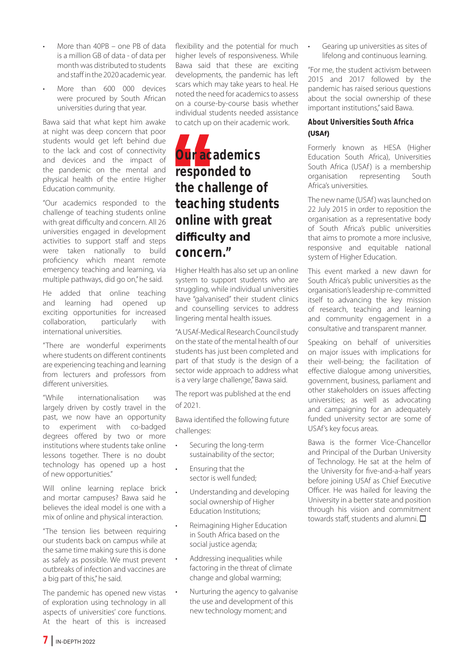- More than 40PB one PB of data is a million GB of data - of data per month was distributed to students and staff in the 2020 academic year.
- More than 600 000 devices were procured by South African universities during that year.

Bawa said that what kept him awake at night was deep concern that poor students would get left behind due to the lack and cost of connectivity and devices and the impact of the pandemic on the mental and physical health of the entire Higher Education community.

"Our academics responded to the challenge of teaching students online with great difficulty and concern. All 26 universities engaged in development activities to support staff and steps were taken nationally to build proficiency which meant remote emergency teaching and learning, via multiple pathways, did go on," he said.

He added that online teaching and learning had opened up exciting opportunities for increased collaboration, particularly with international universities.

"There are wonderful experiments where students on different continents are experiencing teaching and learning from lecturers and professors from different universities.

"While internationalisation was largely driven by costly travel in the past, we now have an opportunity to experiment with co-badged degrees offered by two or more institutions where students take online lessons together. There is no doubt technology has opened up a host of new opportunities."

Will online learning replace brick and mortar campuses? Bawa said he believes the ideal model is one with a mix of online and physical interaction.

"The tension lies between requiring our students back on campus while at the same time making sure this is done as safely as possible. We must prevent outbreaks of infection and vaccines are a big part of this," he said.

The pandemic has opened new vistas of exploration using technology in all aspects of universities' core functions. At the heart of this is increased

flexibility and the potential for much higher levels of responsiveness. While Bawa said that these are exciting developments, the pandemic has left scars which may take years to heal. He noted the need for academics to assess on a course-by-course basis whether individual students needed assistance to catch up on their academic work.

### **Our academics responded to the challenge of teaching students online with great**  difficulty and **concern."**

Higher Health has also set up an online system to support students who are struggling, while individual universities have "galvanised" their student clinics and counselling services to address lingering mental health issues.

"A USAf-Medical Research Council study on the state of the mental health of our students has just been completed and part of that study is the design of a sector wide approach to address what is a very large challenge," Bawa said.

The report was published at the end of 2021.

Bawa identified the following future challenges:

- Securing the long-term sustainability of the sector;
- Ensuring that the sector is well funded;
- Understanding and developing social ownership of Higher Education Institutions;
- Reimagining Higher Education in South Africa based on the social justice agenda;
- Addressing inequalities while factoring in the threat of climate change and global warming;
- Nurturing the agency to galvanise the use and development of this new technology moment; and

Gearing up universities as sites of lifelong and continuous learning.

"For me, the student activism between 2015 and 2017 followed by the pandemic has raised serious questions about the social ownership of these important institutions," said Bawa.

#### **About Universities South Africa 86\$I**

Formerly known as HESA (Higher Education South Africa), Universities South Africa (USAf) is a membership organisation representing South Africa's universities.

The new name (USAf ) was launched on 22 July 2015 in order to reposition the organisation as a representative body of South Africa's public universities that aims to promote a more inclusive, responsive and equitable national system of Higher Education.

This event marked a new dawn for South Africa's public universities as the organisation's leadership re-committed itself to advancing the key mission of research, teaching and learning and community engagement in a consultative and transparent manner.

Speaking on behalf of universities on major issues with implications for their well-being; the facilitation of effective dialogue among universities, government, business, parliament and other stakeholders on issues affecting universities; as well as advocating and campaigning for an adequately funded university sector are some of USAf's key focus areas.

Bawa is the former Vice-Chancellor and Principal of the Durban University of Technology. He sat at the helm of the University for five-and-a-half years before joining USAf as Chief Executive Officer. He was hailed for leaving the University in a better state and position through his vision and commitment towards staff, students and alumni.  $\square$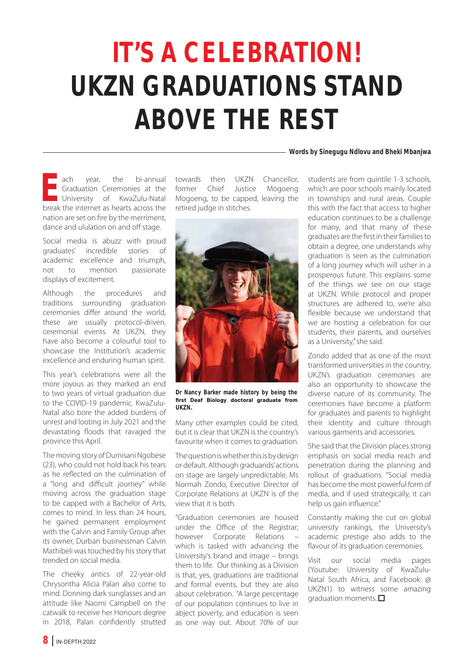# **IT'S A CELEBRATION! UKZN GRADUATIONS STAND ABOVE THE REST**

#### **Words by Sinegugu Ndlovu and Bheki Mbanjwa**

**Example 18 and 18 and 18 and 18 and 18 and 18 and 18 and 18 and 18 and 18 and 18 and 18 and 18 and 18 and 18 and 18 and 18 and 18 and 18 and 18 and 18 and 18 and 18 and 18 and 18 and 18 and 18 and 18 and 18 and 18 and 18** Graduation Ceremonies at the University of KwaZulu-Natal break the internet as hearts across the nation are set on fire by the merriment, dance and ululation on and off stage.

Social media is abuzz with proud graduates' incredible stories of academic excellence and triumph, not to mention passionate displays of excitement.

Although the procedures and traditions surrounding graduation ceremonies differ around the world, these are usually protocol-driven, ceremonial events. At UKZN, they have also become a colourful tool to showcase the Institution's academic excellence and enduring human spirit.

This year's celebrations were all the more joyous as they marked an end to two years of virtual graduation due to the COVID-19 pandemic. KwaZulu-Natal also bore the added burdens of unrest and looting in July 2021 and the devastating floods that ravaged the province this April.

The moving story of Dumisani Ngobese (23), who could not hold back his tears as he reflected on the culmination of a "long and difficult journey" while moving across the graduation stage to be capped with a Bachelor of Arts, comes to mind. In less than 24 hours, he gained permanent employment with the Calvin and Family Group after its owner, Durban businessman Calvin Mathibeli was touched by his story that trended on social media.

The cheeky antics of 22-year-old Chrysontha Alicia Palan also come to mind. Donning dark sunglasses and an attitude like Naomi Campbell on the catwalk to receive her Honours degree in 2018, Palan confidently strutted

towards then UKZN Chancellor,<br>former Chief Justice Mogoeng Mogoeng Mogoeng, to be capped, leaving the retired judge in stitches.



**Dr Nancy Barker made history by being the**  first Deaf Biology doctoral graduate from **UKZN.**

Many other examples could be cited, but it is clear that UKZN is the country's favourite when it comes to graduation.

The question is whether this is by design or default. Although graduands' actions on stage are largely unpredictable, Ms Normah Zondo, Executive Director of Corporate Relations at UKZN is of the view that it is both.

"Graduation ceremonies are housed under the Office of the Registrar; however Corporate Relations which is tasked with advancing the University's brand and image – brings them to life. Our thinking as a Division is that, yes, graduations are traditional and formal events, but they are also about celebration. "A large percentage of our population continues to live in abject poverty, and education is seen as one way out. About 70% of our students are from quintile 1-3 schools, which are poor schools mainly located in townships and rural areas. Couple this with the fact that access to higher education continues to be a challenge for many, and that many of these graduates are the first in their families to obtain a degree, one understands why graduation is seen as the culmination of a long journey which will usher in a prosperous future. This explains some of the things we see on our stage at UKZN. While protocol and proper structures are adhered to, we're also flexible because we understand that we are hosting a celebration for our students, their parents, and ourselves as a University," she said.

Zondo added that as one of the most transformed universities in the country, UKZN's graduation ceremonies are also an opportunity to showcase the diverse nature of its community. The ceremonies have become a platform for graduates and parents to highlight their identity and culture through various garments and accessories.

She said that the Division places strong emphasis on social media reach and penetration during the planning and rollout of graduations. "Social media has become the most powerful form of media, and if used strategically, it can help us gain influence."

Constantly making the cut on global university rankings, the University's academic prestige also adds to the flavour of its graduation ceremonies.

Visit our social media pages (Youtube: University of KwaZulu-Natal South Africa, and Facebook: @ UKZN1) to witness some amazing graduation moments.  $\square$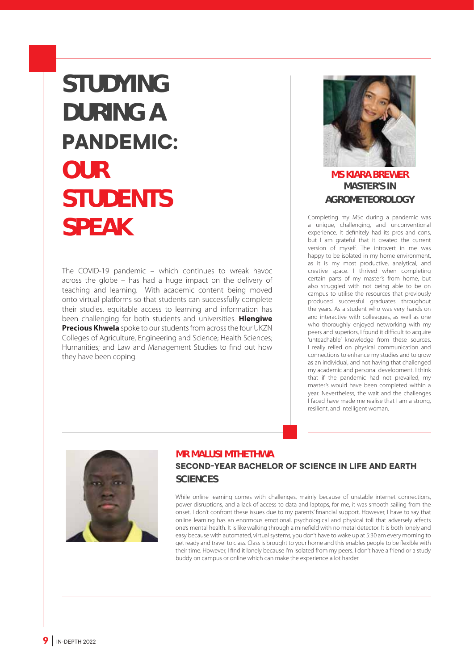## **STUDYING DURING A**  PANDEMIC: **OUR STUDENTS SPEAK**

The COVID-19 pandemic – which continues to wreak havoc across the globe – has had a huge impact on the delivery of teaching and learning. With academic content being moved onto virtual platforms so that students can successfully complete their studies, equitable access to learning and information has been challenging for both students and universities. **Hlengiwe Precious Khwela** spoke to our students from across the four UKZN Colleges of Agriculture, Engineering and Science; Health Sciences; Humanities; and Law and Management Studies to find out how they have been coping.



#### **MS KIARA BREWER MASTER'S IN AGROMETEOROLOGY**

Completing my MSc during a pandemic was a unique, challenging, and unconventional experience. It definitely had its pros and cons, but I am grateful that it created the current version of myself. The introvert in me was happy to be isolated in my home environment, as it is my most productive, analytical, and creative space. I thrived when completing certain parts of my master's from home, but also struggled with not being able to be on campus to utilise the resources that previously produced successful graduates throughout the years. As a student who was very hands on and interactive with colleagues, as well as one who thoroughly enjoyed networking with my peers and superiors, I found it difficult to acquire 'unteachable' knowledge from these sources. I really relied on physical communication and connections to enhance my studies and to grow as an individual, and not having that challenged my academic and personal development. I think that if the pandemic had not prevailed, my master's would have been completed within a year. Nevertheless, the wait and the challenges I faced have made me realise that I am a strong, resilient, and intelligent woman.



#### **MR MALUSI MTHETHWA**

#### **SECOND-YEAR BACHELOR OF SCIENCE IN LIFE AND EARTH SCIENCES**

While online learning comes with challenges, mainly because of unstable internet connections, power disruptions, and a lack of access to data and laptops, for me, it was smooth sailing from the onset. I don't confront these issues due to my parents' financial support. However, I have to say that online learning has an enormous emotional, psychological and physical toll that adversely affects one's mental health. It is like walking through a minefield with no metal detector. It is both lonely and easy because with automated, virtual systems, you don't have to wake up at 5:30 am every morning to get ready and travel to class. Class is brought to your home and this enables people to be flexible with their time. However, I find it lonely because I'm isolated from my peers. I don't have a friend or a study buddy on campus or online which can make the experience a lot harder.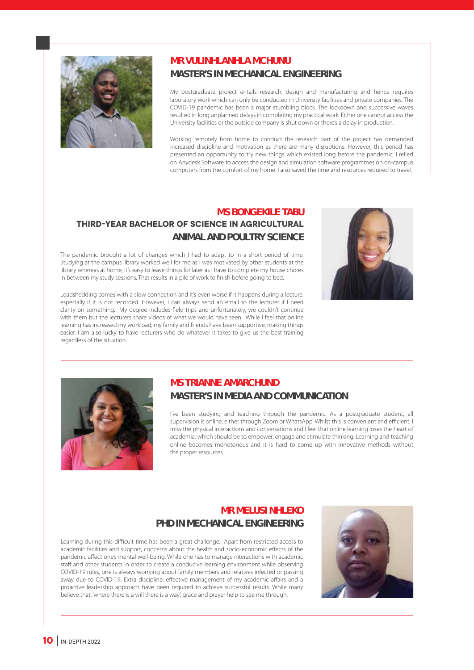

#### **MR VULINHLANHLA MCHUNU MASTER'S IN MECHANICAL ENGINEERING**

My postgraduate project entails research, design and manufacturing and hence requires laboratory work which can only be conducted in University facilities and private companies. The COVID-19 pandemic has been a major stumbling block. The lockdown and successive waves resulted in long unplanned delays in completing my practical work. Either one cannot access the University facilities or the outside company is shut down or there's a delay in production.

Working remotely from home to conduct the research part of the project has demanded increased discipline and motivation as there are many disruptions. However, this period has presented an opportunity to try new things which existed long before the pandemic. I relied on Anydesk Software to access the design and simulation software programmes on on-campus computers from the comfort of my home. I also saved the time and resources required to travel.

#### **MS BONGEKILE TABU THIRD-YEAR BACHELOR OF SCIENCE IN AGRICULTURAL ANIMAL AND POULTRY SCIENCE**

The pandemic brought a lot of changes which I had to adapt to in a short period of time. Studying at the campus library worked well for me as I was motivated by other students at the library whereas at home, it's easy to leave things for later as I have to complete my house chores in between my study sessions. That results in a pile of work to finish before going to bed.



Loadshedding comes with a slow connection and it's even worse if it happens during a lecture, especially if it is not recorded. However, I can always send an email to the lecturer if I need clarity on something. My degree includes field trips and unfortunately, we couldn't continue with them but the lecturers share videos of what we would have seen. While I feel that online learning has increased my workload, my family and friends have been supportive, making things easier. I am also lucky to have lecturers who do whatever it takes to give us the best training regardless of the situation.



#### **MS TRIANNE AMARCHUND MASTER'S IN MEDIA AND COMMUNICATION**

I've been studying and teaching through the pandemic. As a postgraduate student, all supervision is online, either through Zoom or WhatsApp. Whilst this is convenient and efficient, I miss the physical interactions and conversations and I feel that online learning loses the heart of academia, which should be to empower, engage and stimulate thinking. Learning and teaching online becomes monotonous and it is hard to come up with innovative methods without the proper resources.

#### **MR MELUSI NHLEKO PHD IN MECHANICAL ENGINEERING**

Learning during this difficult time has been a great challenge. Apart from restricted access to academic facilities and support, concerns about the health and socio-economic effects of the pandemic affect one's mental well-being. While one has to manage interactions with academic staff and other students in order to create a conducive learning environment while observing COVID-19 rules, one is always worrying about family members and relatives infected or passing away due to COVID-19. Extra discipline, effective management of my academic affairs and a proactive leadership approach have been required to achieve successful results. While many believe that, 'where there is a will there is a way', grace and prayer help to see me through.

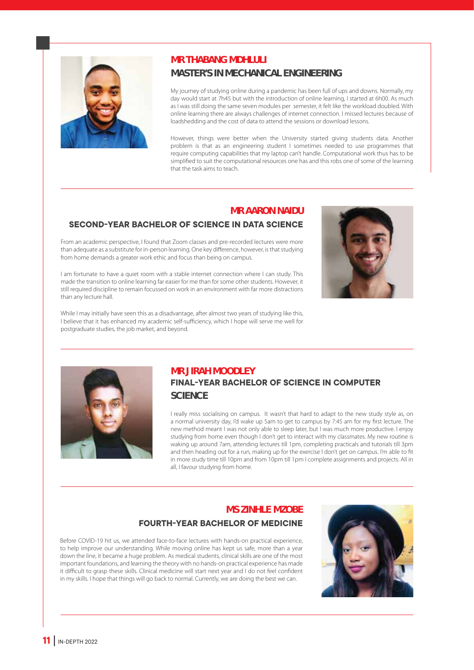

#### **MR THABANG MDHLULI**

#### **MASTER'S IN MECHANICAL ENGINEERING**

My journey of studying online during a pandemic has been full of ups and downs. Normally, my day would start at 7h45 but with the introduction of online learning, I started at 6h00. As much as I was still doing the same seven modules per semester, it felt like the workload doubled. With online learning there are always challenges of internet connection. I missed lectures because of loadshedding and the cost of data to attend the sessions or download lessons.

However, things were better when the University started giving students data. Another problem is that as an engineering student I sometimes needed to use programmes that require computing capabilities that my laptop can't handle. Computational work thus has to be simplified to suit the computational resources one has and this robs one of some of the learning that the task aims to teach.

#### **MR AARON NAIDU**

#### **SECOND-YEAR BACHELOR OF SCIENCE IN DATA SCIENCE**

From an academic perspective, I found that Zoom classes and pre-recorded lectures were more than adequate as a substitute for in-person learning. One key difference, however, is that studying from home demands a greater work ethic and focus than being on campus.

I am fortunate to have a quiet room with a stable internet connection where I can study. This made the transition to online learning far easier for me than for some other students. However, it still required discipline to remain focussed on work in an environment with far more distractions than any lecture hall.

While I may initially have seen this as a disadvantage, after almost two years of studying like this, I believe that it has enhanced my academic self-sufficiency, which I hope will serve me well for postgraduate studies, the job market, and beyond.





#### **MR JIRAH MOODLEY FINAL-YEAR BACHELOR OF SCIENCE IN COMPUTER SCIENCE**

I really miss socialising on campus. It wasn't that hard to adapt to the new study style as, on a normal university day, I'd wake up 5am to get to campus by 7:45 am for my first lecture. The new method meant I was not only able to sleep later, but I was much more productive. I enjoy studying from home even though I don't get to interact with my classmates. My new routine is waking up around 7am, attending lectures till 1pm, completing practicals and tutorials till 3pm and then heading out for a run, making up for the exercise I don't get on campus. I'm able to fit in more study time till 10pm and from 10pm till 1pm I complete assignments and projects. All in all, I favour studying from home.

#### **MS ZINHLE MZOBE**

#### **FOURTH-YEAR BACHELOR OF MEDICINE**

Before COVID-19 hit us, we attended face-to-face lectures with hands-on practical experience, to help improve our understanding. While moving online has kept us safe, more than a year down the line, it became a huge problem. As medical students, clinical skills are one of the most important foundations, and learning the theory with no hands-on practical experience has made it difficult to grasp these skills. Clinical medicine will start next year and I do not feel confident in my skills. I hope that things will go back to normal. Currently, we are doing the best we can.

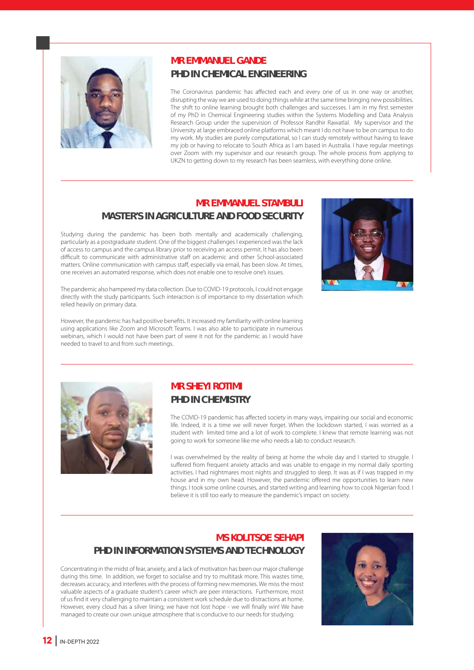

#### **MR EMMANUEL GANDE PHD IN CHEMICAL ENGINEERING**

The Coronavirus pandemic has affected each and every one of us in one way or another, disrupting the way we are used to doing things while at the same time bringing new possibilities. The shift to online learning brought both challenges and successes. I am in my first semester of my PhD in Chemical Engineering studies within the Systems Modelling and Data Analysis Research Group under the supervision of Professor Randhir Rawatlal. My supervisor and the University at large embraced online platforms which meant I do not have to be on campus to do my work. My studies are purely computational, so I can study remotely without having to leave my job or having to relocate to South Africa as I am based in Australia. I have regular meetings over Zoom with my supervisor and our research group. The whole process from applying to UKZN to getting down to my research has been seamless, with everything done online.

#### **MR EMMANUEL STAMBULI MASTER'S IN AGRICULTURE AND FOOD SECURITY**

Studying during the pandemic has been both mentally and academically challenging, particularly as a postgraduate student. One of the biggest challenges I experienced was the lack of access to campus and the campus library prior to receiving an access permit. It has also been difficult to communicate with administrative staff on academic and other School-associated matters. Online communication with campus staff, especially via email, has been slow. At times, one receives an automated response, which does not enable one to resolve one's issues.



The pandemic also hampered my data collection. Due to COVID-19 protocols, I could not engage directly with the study participants. Such interaction is of importance to my dissertation which relied heavily on primary data.

However, the pandemic has had positive benefits. It increased my familiarity with online learning using applications like Zoom and Microsoft Teams. I was also able to participate in numerous webinars, which I would not have been part of were it not for the pandemic as I would have needed to travel to and from such meetings.



#### **MR SHEYI ROTIMI PHD IN CHEMISTRY**

The COVID-19 pandemic has affected society in many ways, impairing our social and economic life. Indeed, it is a time we will never forget. When the lockdown started, I was worried as a student with limited time and a lot of work to complete. I knew that remote learning was not going to work for someone like me who needs a lab to conduct research.

I was overwhelmed by the reality of being at home the whole day and I started to struggle. I suffered from frequent anxiety attacks and was unable to engage in my normal daily sporting activities. I had nightmares most nights and struggled to sleep. It was as if I was trapped in my house and in my own head. However, the pandemic offered me opportunities to learn new things. I took some online courses, and started writing and learning how to cook Nigerian food. I believe it is still too early to measure the pandemic's impact on society.

#### **MS KOLITSOE SEHAPI PHD IN INFORMATION SYSTEMS AND TECHNOLOGY**

Concentrating in the midst of fear, anxiety, and a lack of motivation has been our major challenge during this time. In addition, we forget to socialise and try to multitask more. This wastes time, decreases accuracy, and interferes with the process of forming new memories. We miss the most valuable aspects of a graduate student's career which are peer interactions. Furthermore, most of us find it very challenging to maintain a consistent work schedule due to distractions at home. However, every cloud has a silver lining; we have not lost hope - we will finally win! We have managed to create our own unique atmosphere that is conducive to our needs for studying.

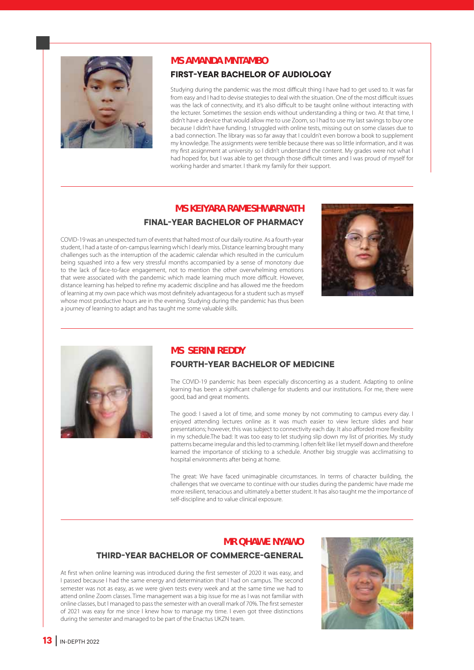

#### **MS AMANDA MNTAMBO**

#### **FIRST-YEAR BACHELOR OF AUDIOLOGY**

Studying during the pandemic was the most difficult thing I have had to get used to. It was far from easy and I had to devise strategies to deal with the situation. One of the most difficult issues was the lack of connectivity, and it's also difficult to be taught online without interacting with the lecturer. Sometimes the session ends without understanding a thing or two. At that time, I didn't have a device that would allow me to use Zoom, so I had to use my last savings to buy one because I didn't have funding. I struggled with online tests, missing out on some classes due to a bad connection. The library was so far away that I couldn't even borrow a book to supplement my knowledge. The assignments were terrible because there was so little information, and it was my first assignment at university so I didn't understand the content. My grades were not what I had hoped for, but I was able to get through those difficult times and I was proud of myself for working harder and smarter. I thank my family for their support.

#### **MS KEIYARA RAMESHWARNATH FINAL-YEAR BACHELOR OF PHARMACY**

COVID-19 was an unexpected turn of events that halted most of our daily routine. As a fourth-year student, I had a taste of on-campus learning which I dearly miss. Distance learning brought many challenges such as the interruption of the academic calendar which resulted in the curriculum being squashed into a few very stressful months accompanied by a sense of monotony due to the lack of face-to-face engagement, not to mention the other overwhelming emotions that were associated with the pandemic which made learning much more difficult. However, distance learning has helped to refine my academic discipline and has allowed me the freedom of learning at my own pace which was most definitely advantageous for a student such as myself whose most productive hours are in the evening. Studying during the pandemic has thus been a journey of learning to adapt and has taught me some valuable skills.





#### **MS SERINI REDDY**

#### **FOURTH-YEAR BACHELOR OF MEDICINE**

The COVID-19 pandemic has been especially disconcerting as a student. Adapting to online learning has been a significant challenge for students and our institutions. For me, there were good, bad and great moments.

The good: I saved a lot of time, and some money by not commuting to campus every day. I enjoyed attending lectures online as it was much easier to view lecture slides and hear presentations; however, this was subject to connectivity each day. It also afforded more flexibility in my schedule.The bad: It was too easy to let studying slip down my list of priorities. My study patterns became irregular and this led to cramming. I often felt like I let myself down and therefore learned the importance of sticking to a schedule. Another big struggle was acclimatising to hospital environments after being at home.

The great: We have faced unimaginable circumstances. In terms of character building, the challenges that we overcame to continue with our studies during the pandemic have made me more resilient, tenacious and ultimately a better student. It has also taught me the importance of self-discipline and to value clinical exposure.

#### **MR QHAWE NYAWO**

#### **THIRD-YEAR BACHELOR OF COMMERCE-GENERAL**

At first when online learning was introduced during the first semester of 2020 it was easy, and I passed because I had the same energy and determination that I had on campus. The second semester was not as easy, as we were given tests every week and at the same time we had to attend online Zoom classes. Time management was a big issue for me as I was not familiar with online classes, but I managed to pass the semester with an overall mark of 70%. The first semester of 2021 was easy for me since I knew how to manage my time. I even got three distinctions during the semester and managed to be part of the Enactus UKZN team.

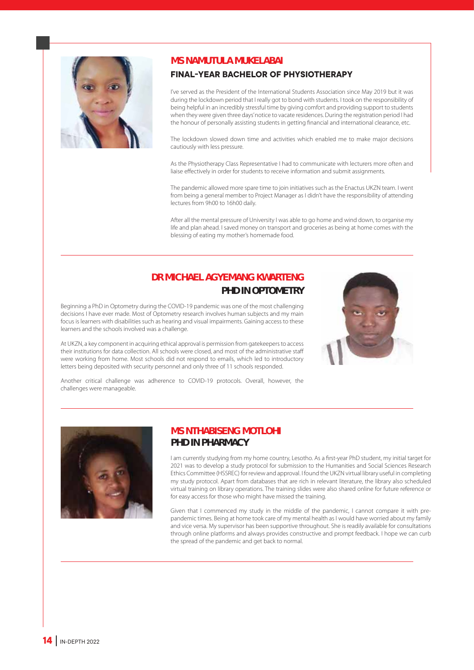

#### **MS NAMUTULA MUKELABAI**

#### **FINAL-YEAR BACHELOR OF PHYSIOTHERAPY**

I've served as the President of the International Students Association since May 2019 but it was during the lockdown period that I really got to bond with students. I took on the responsibility of being helpful in an incredibly stressful time by giving comfort and providing support to students when they were given three days' notice to vacate residences. During the registration period I had the honour of personally assisting students in getting financial and international clearance, etc.

The lockdown slowed down time and activities which enabled me to make major decisions cautiously with less pressure.

As the Physiotherapy Class Representative I had to communicate with lecturers more often and liaise effectively in order for students to receive information and submit assignments.

The pandemic allowed more spare time to join initiatives such as the Enactus UKZN team. I went from being a general member to Project Manager as I didn't have the responsibility of attending lectures from 9h00 to 16h00 daily.

After all the mental pressure of University I was able to go home and wind down, to organise my life and plan ahead. I saved money on transport and groceries as being at home comes with the blessing of eating my mother's homemade food.

#### **DR MICHAEL AGYEMANG KWARTENG PHD IN OPTOMETRY**

Beginning a PhD in Optometry during the COVID-19 pandemic was one of the most challenging decisions I have ever made. Most of Optometry research involves human subjects and my main focus is learners with disabilities such as hearing and visual impairments. Gaining access to these learners and the schools involved was a challenge.

At UKZN, a key component in acquiring ethical approval is permission from gatekeepers to access their institutions for data collection. All schools were closed, and most of the administrative staff were working from home. Most schools did not respond to emails, which led to introductory letters being deposited with security personnel and only three of 11 schools responded.



Another critical challenge was adherence to COVID-19 protocols. Overall, however, the challenges were manageable.



#### **MS NTHABISENG MOTLOHI PHD IN PHARMACY**

I am currently studying from my home country, Lesotho. As a first-year PhD student, my initial target for 2021 was to develop a study protocol for submission to the Humanities and Social Sciences Research Ethics Committee (HSSREC) for review and approval. I found the UKZN virtual library useful in completing my study protocol. Apart from databases that are rich in relevant literature, the library also scheduled virtual training on library operations. The training slides were also shared online for future reference or for easy access for those who might have missed the training.

Given that I commenced my study in the middle of the pandemic, I cannot compare it with prepandemic times. Being at home took care of my mental health as I would have worried about my family and vice versa. My supervisor has been supportive throughout. She is readily available for consultations through online platforms and always provides constructive and prompt feedback. I hope we can curb the spread of the pandemic and get back to normal.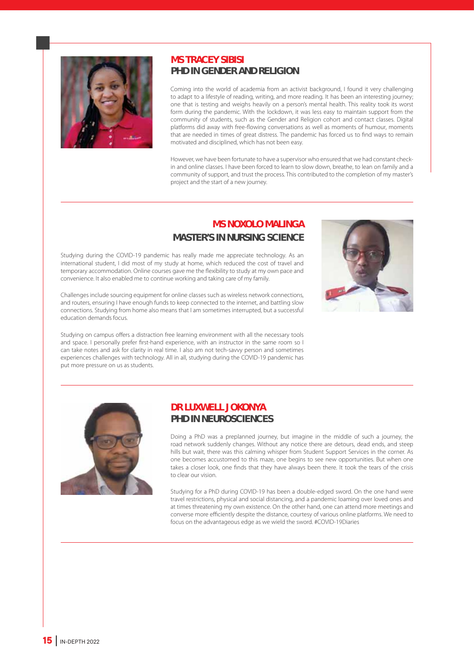

#### **MS TRACEY SIBISI PHD IN GENDER AND RELIGION**

Coming into the world of academia from an activist background, I found it very challenging to adapt to a lifestyle of reading, writing, and more reading. It has been an interesting journey; one that is testing and weighs heavily on a person's mental health. This reality took its worst form during the pandemic. With the lockdown, it was less easy to maintain support from the community of students, such as the Gender and Religion cohort and contact classes. Digital platforms did away with free-flowing conversations as well as moments of humour, moments that are needed in times of great distress. The pandemic has forced us to find ways to remain motivated and disciplined, which has not been easy.

However, we have been fortunate to have a supervisor who ensured that we had constant checkin and online classes. I have been forced to learn to slow down, breathe, to lean on family and a community of support, and trust the process. This contributed to the completion of my master's project and the start of a new journey.

#### **MS NOXOLO MALINGA MASTER'S IN NURSING SCIENCE**

Studying during the COVID-19 pandemic has really made me appreciate technology. As an international student, I did most of my study at home, which reduced the cost of travel and temporary accommodation. Online courses gave me the flexibility to study at my own pace and convenience. It also enabled me to continue working and taking care of my family.

Challenges include sourcing equipment for online classes such as wireless network connections, and routers, ensuring I have enough funds to keep connected to the internet, and battling slow connections. Studying from home also means that I am sometimes interrupted, but a successful education demands focus.

Studying on campus offers a distraction free learning environment with all the necessary tools and space. I personally prefer first-hand experience, with an instructor in the same room so I can take notes and ask for clarity in real time. I also am not tech-savvy person and sometimes experiences challenges with technology. All in all, studying during the COVID-19 pandemic has put more pressure on us as students.





#### **DR LUXWELL JOKONYA PHD IN NEUROSCIENCES**

Doing a PhD was a preplanned journey, but imagine in the middle of such a journey, the road network suddenly changes. Without any notice there are detours, dead ends, and steep hills but wait, there was this calming whisper from Student Support Services in the corner. As one becomes accustomed to this maze, one begins to see new opportunities. But when one takes a closer look, one finds that they have always been there. It took the tears of the crisis to clear our vision.

Studying for a PhD during COVID-19 has been a double-edged sword. On the one hand were travel restrictions, physical and social distancing, and a pandemic loaming over loved ones and at times threatening my own existence. On the other hand, one can attend more meetings and converse more efficiently despite the distance, courtesy of various online platforms. We need to focus on the advantageous edge as we wield the sword. #COVID-19Diaries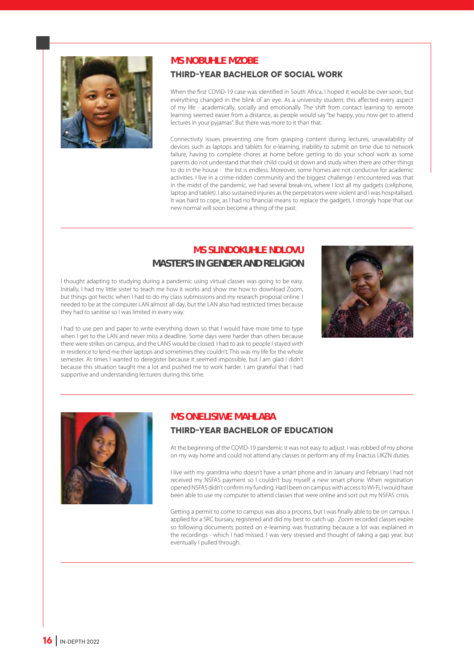

#### **MS NOBUHLE MZOBE**

#### **THIRD-YEAR BACHELOR OF SOCIAL WORK**

When the first COVID-19 case was identified in South Africa, I hoped it would be over soon, but everything changed in the blink of an eye. As a university student, this affected every aspect of my life - academically, socially and emotionally. The shift from contact learning to remote learning seemed easier from a distance, as people would say "be happy, you now get to attend lectures in your pyjamas". But there was more to it than that.

Connectivity issues preventing one from grasping content during lectures, unavailability of devices such as laptops and tablets for e-learning, inability to submit on time due to network failure, having to complete chores at home before getting to do your school work as some parents do not understand that their child could sit down and study when there are other things to do in the house - the list is endless. Moreover, some homes are not conducive for academic activities. I live in a crime-ridden community and the biggest challenge I encountered was that in the midst of the pandemic, we had several break-ins, where I lost all my gadgets (cellphone, laptop and tablet). I also sustained injuries as the perpetrators were violent and I was hospitalised. It was hard to cope, as I had no financial means to replace the gadgets. I strongly hope that our new normal will soon become a thing of the past.

#### **MS SLINDOKUHLE NDLOVU MASTER'S IN GENDER AND RELIGION**

I thought adapting to studying during a pandemic using virtual classes was going to be easy. Initially, I had my little sister to teach me how it works and show me how to download Zoom, but things got hectic when I had to do my class submissions and my research proposal online. I needed to be at the computer LAN almost all day, but the LAN also had restricted times because they had to sanitise so I was limited in every way.

I had to use pen and paper to write everything down so that I would have more time to type when I get to the LAN and never miss a deadline. Some days were harder than others because there were strikes on campus, and the LANS would be closed. I had to ask to people I stayed with in residence to lend me their laptops and sometimes they couldn't. This was my life for the whole semester. At times I wanted to deregister because it seemed impossible, but I am glad I didn't because this situation taught me a lot and pushed me to work harder. I am grateful that I had supportive and understanding lecturers during this time.





#### **MS ONELISIWE MAHLABA**

#### **THIRD-YEAR BACHELOR OF EDUCATION**

At the beginning of the COVID-19 pandemic it was not easy to adjust. I was robbed of my phone on my way home and could not attend any classes or perform any of my Enactus UKZN duties.

I live with my grandma who doesn't have a smart phone and in January and February I had not received my NSFAS payment so I couldn't buy myself a new smart phone. When registration opened NSFAS didn't confirm my funding. Had I been on campus with access to Wi-Fi, I would have been able to use my computer to attend classes that were online and sort out my NSFAS crisis.

Getting a permit to come to campus was also a process, but I was finally able to be on campus. I applied for a SRC bursary, registered and did my best to catch up. Zoom recorded classes expire so following documents posted on e-learning was frustrating because a lot was explained in the recordings - which I had missed. I was very stressed and thought of taking a gap year, but eventually I pulled through.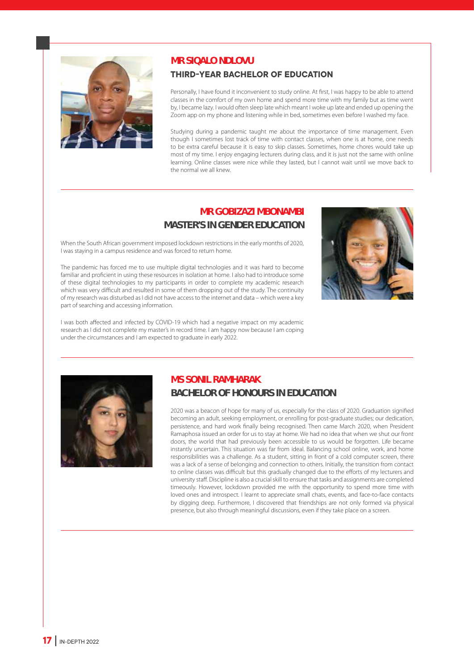

#### **MR SIQALO NDLOVU**

#### **THIRD-YEAR BACHELOR OF EDUCATION**

Personally, I have found it inconvenient to study online. At first, I was happy to be able to attend classes in the comfort of my own home and spend more time with my family but as time went by, I became lazy. I would often sleep late which meant I woke up late and ended up opening the Zoom app on my phone and listening while in bed, sometimes even before I washed my face.

Studying during a pandemic taught me about the importance of time management. Even though I sometimes lost track of time with contact classes, when one is at home, one needs to be extra careful because it is easy to skip classes. Sometimes, home chores would take up most of my time. I enjoy engaging lecturers during class, and it is just not the same with online learning. Online classes were nice while they lasted, but I cannot wait until we move back to the normal we all knew.

#### **MR GOBIZAZI MBONAMBI MASTER'S IN GENDER EDUCATION**

When the South African government imposed lockdown restrictions in the early months of 2020, I was staying in a campus residence and was forced to return home.

The pandemic has forced me to use multiple digital technologies and it was hard to become familiar and proficient in using these resources in isolation at home. I also had to introduce some of these digital technologies to my participants in order to complete my academic research which was very difficult and resulted in some of them dropping out of the study. The continuity of my research was disturbed as I did not have access to the internet and data – which were a key part of searching and accessing information.



I was both affected and infected by COVID-19 which had a negative impact on my academic research as I did not complete my master's in record time. I am happy now because I am coping under the circumstances and I am expected to graduate in early 2022.



#### **MS SONIL RAMHARAK BACHELOR OF HONOURS IN EDUCATION**

2020 was a beacon of hope for many of us, especially for the class of 2020. Graduation signified becoming an adult, seeking employment, or enrolling for post-graduate studies; our dedication, persistence, and hard work finally being recognised. Then came March 2020, when President Ramaphosa issued an order for us to stay at home. We had no idea that when we shut our front doors, the world that had previously been accessible to us would be forgotten. Life became instantly uncertain. This situation was far from ideal. Balancing school online, work, and home responsibilities was a challenge. As a student, sitting in front of a cold computer screen, there was a lack of a sense of belonging and connection to others. Initially, the transition from contact to online classes was difficult but this gradually changed due to the efforts of my lecturers and university staff. Discipline is also a crucial skill to ensure that tasks and assignments are completed timeously. However, lockdown provided me with the opportunity to spend more time with loved ones and introspect. I learnt to appreciate small chats, events, and face-to-face contacts by digging deep. Furthermore, I discovered that friendships are not only formed via physical presence, but also through meaningful discussions, even if they take place on a screen.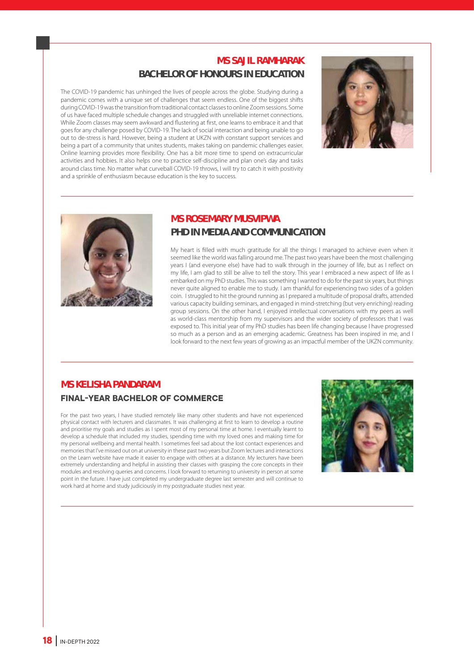#### **MS SAJIL RAMHARAK BACHELOR OF HONOURS IN EDUCATION**

The COVID-19 pandemic has unhinged the lives of people across the globe. Studying during a pandemic comes with a unique set of challenges that seem endless. One of the biggest shifts during COVID-19 was the transition from traditional contact classes to online Zoom sessions. Some of us have faced multiple schedule changes and struggled with unreliable internet connections. While Zoom classes may seem awkward and flustering at first, one learns to embrace it and that goes for any challenge posed by COVID-19. The lack of social interaction and being unable to go out to de-stress is hard. However, being a student at UKZN with constant support services and being a part of a community that unites students, makes taking on pandemic challenges easier. Online learning provides more flexibility. One has a bit more time to spend on extracurricular activities and hobbies. It also helps one to practice self-discipline and plan one's day and tasks around class time. No matter what curveball COVID-19 throws, I will try to catch it with positivity and a sprinkle of enthusiasm because education is the key to success.





#### **MS ROSEMARY MUSVIPWA PHD IN MEDIA AND COMMUNICATION**

My heart is filled with much gratitude for all the things I managed to achieve even when it seemed like the world was falling around me. The past two years have been the most challenging years I (and everyone else) have had to walk through in the journey of life, but as I reflect on my life, I am glad to still be alive to tell the story. This year I embraced a new aspect of life as I embarked on my PhD studies. This was something I wanted to do for the past six years, but things never quite aligned to enable me to study. I am thankful for experiencing two sides of a golden coin. I struggled to hit the ground running as I prepared a multitude of proposal drafts, attended various capacity building seminars, and engaged in mind-stretching (but very enriching) reading group sessions. On the other hand, I enjoyed intellectual conversations with my peers as well as world-class mentorship from my supervisors and the wider society of professors that I was exposed to. This initial year of my PhD studies has been life changing because I have progressed so much as a person and as an emerging academic. Greatness has been inspired in me, and I look forward to the next few years of growing as an impactful member of the UKZN community.

#### **MS KELISHA PANDARAM**

#### **FINAL-YEAR BACHELOR OF COMMERCE**

For the past two years, I have studied remotely like many other students and have not experienced physical contact with lecturers and classmates. It was challenging at first to learn to develop a routine and prioritise my goals and studies as I spent most of my personal time at home. I eventually learnt to develop a schedule that included my studies, spending time with my loved ones and making time for my personal wellbeing and mental health. I sometimes feel sad about the lost contact experiences and memories that I've missed out on at university in these past two years but Zoom lectures and interactions on the Learn website have made it easier to engage with others at a distance. My lecturers have been extremely understanding and helpful in assisting their classes with grasping the core concepts in their modules and resolving queries and concerns. I look forward to returning to university in person at some point in the future. I have just completed my undergraduate degree last semester and will continue to work hard at home and study judiciously in my postgraduate studies next year.

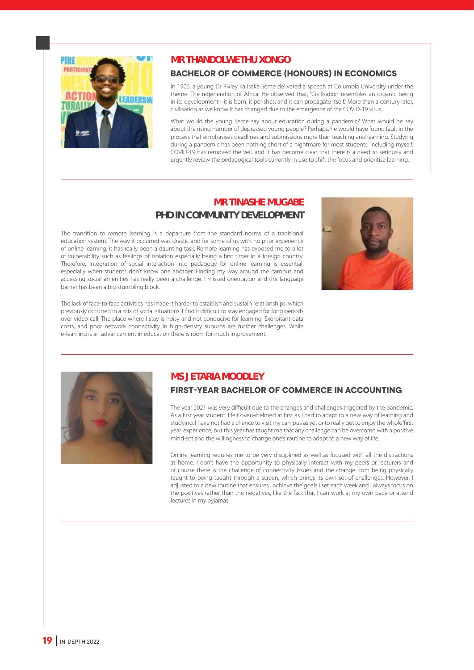

#### **MR THANDOLWETHU XONGO**

#### **BACHELOR OF COMMERCE (HONOURS) IN ECONOMICS**

In 1906, a young Dr Pixley ka Isaka-Seme delivered a speech at Columbia University under the theme: The regeneration of Africa. He observed that, "Civilisation resembles an organic being in its development - it is born, it perishes, and it can propagate itself." More than a century later, civilisation as we know it has changed due to the emergence of the COVID-19 virus.

What would the young Seme say about education during a pandemic? What would he say about the rising number of depressed young people? Perhaps, he would have found fault in the process that emphasises deadlines and submissions more than teaching and learning. Studying during a pandemic has been nothing short of a nightmare for most students, including myself. COVID-19 has removed the veil, and it has become clear that there is a need to seriously and urgently review the pedagogical tools currently in use to shift the focus and prioritise learning.

#### **MR TINASHE MUGABE**

#### **PHD IN COMMUNITY DEVELOPMENT**

The transition to remote learning is a departure from the standard norms of a traditional education system. The way it occurred was drastic and for some of us with no prior experience of online learning, it has really been a daunting task. Remote learning has exposed me to a lot of vulnerability such as feelings of isolation especially being a first timer in a foreign country. Therefore, integration of social interaction into pedagogy for online learning is essential, especially when students don't know one another. Finding my way around the campus and accessing social amenities has really been a challenge. I missed orientation and the language barrier has been a big stumbling block.



The lack of face-to-face activities has made it harder to establish and sustain relationships, which previously occurred in a mix of social situations. I find it difficult to stay engaged for long periods over video call. The place where I stay is noisy and not conducive for learning. Exorbitant data costs, and poor network connectivity in high-density suburbs are further challenges. While e-learning is an advancement in education there is room for much improvement.



#### **MS JETARIA MOODLEY**

#### **FIRST-YEAR BACHELOR OF COMMERCE IN ACCOUNTING**

The year 2021 was very difficult due to the changes and challenges triggered by the pandemic. As a first year student, I felt overwhelmed at first as I had to adapt to a new way of learning and studying. I have not had a chance to visit my campus as yet or to really get to enjoy the whole 'first year' experience, but this year has taught me that any challenge can be overcome with a positive mind-set and the willingness to change one's routine to adapt to a new way of life.

Online learning requires me to be very disciplined as well as focused with all the distractions at home. I don't have the opportunity to physically interact with my peers or lecturers and of course there is the challenge of connectivity issues and the change from being physically taught to being taught through a screen, which brings its own set of challenges. However, I adjusted to a new routine that ensures I achieve the goals I set each week and I always focus on the positives rather than the negatives, like the fact that I can work at my own pace or attend lectures in my pyjamas.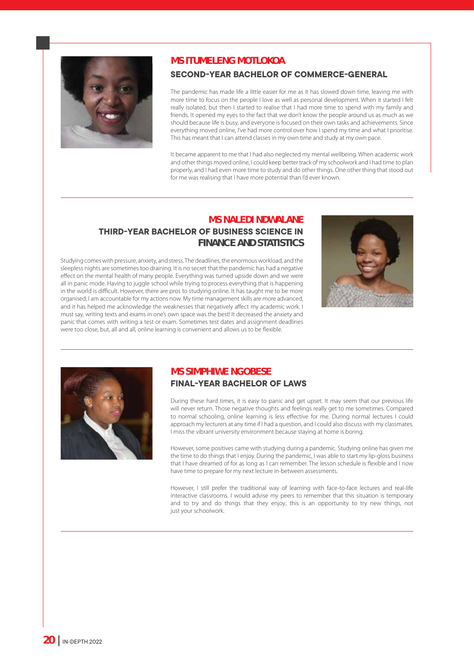

#### **MS ITUMELENG MOTLOKOA**

#### **SECOND-YEAR BACHELOR OF COMMERCE-GENERAL**

The pandemic has made life a little easier for me as it has slowed down time, leaving me with more time to focus on the people I love as well as personal development. When it started I felt really isolated, but then I started to realise that I had more time to spend with my family and friends. It opened my eyes to the fact that we don't know the people around us as much as we should because life is busy, and everyone is focused on their own tasks and achievements. Since everything moved online, I've had more control over how I spend my time and what I prioritise. This has meant that I can attend classes in my own time and study at my own pace.

It became apparent to me that I had also neglected my mental wellbeing. When academic work and other things moved online, I could keep better track of my schoolwork and I had time to plan properly, and I had even more time to study and do other things. One other thing that stood out for me was realising that I have more potential than I'd ever known.

#### **MS NALEDI NDWALANE THIRD-YEAR BACHELOR OF BUSINESS SCIENCE IN FINANCE AND STATISTICS**

Studying comes with pressure, anxiety, and stress. The deadlines, the enormous workload, and the sleepless nights are sometimes too draining. It is no secret that the pandemic has had a negative effect on the mental health of many people. Everything was turned upside down and we were all in panic mode. Having to juggle school while trying to process everything that is happening in the world is difficult. However, there are pros to studying online. It has taught me to be more organised; I am accountable for my actions now. My time management skills are more advanced, and it has helped me acknowledge the weaknesses that negatively affect my academic work. I must say, writing texts and exams in one's own space was the best! It decreased the anxiety and panic that comes with writing a test or exam. Sometimes test dates and assignment deadlines were too close, but, all and all, online learning is convenient and allows us to be flexible.





#### **MS SIMPHIWE NGOBESE FINAL-YEAR BACHELOR OF LAWS**

During these hard times, it is easy to panic and get upset. It may seem that our previous life will never return. Those negative thoughts and feelings really get to me sometimes. Compared to normal schooling, online learning is less effective for me. During normal lectures I could approach my lecturers at any time if I had a question, and I could also discuss with my classmates. I miss the vibrant university environment because staying at home is boring.

However, some positives came with studying during a pandemic. Studying online has given me the time to do things that I enjoy. During the pandemic, I was able to start my lip-gloss business that I have dreamed of for as long as I can remember. The lesson schedule is flexible and I now have time to prepare for my next lecture in-between assessments.

However, I still prefer the traditional way of learning with face-to-face lectures and real-life interactive classrooms. I would advise my peers to remember that this situation is temporary and to try and do things that they enjoy; this is an opportunity to try new things, not just your schoolwork.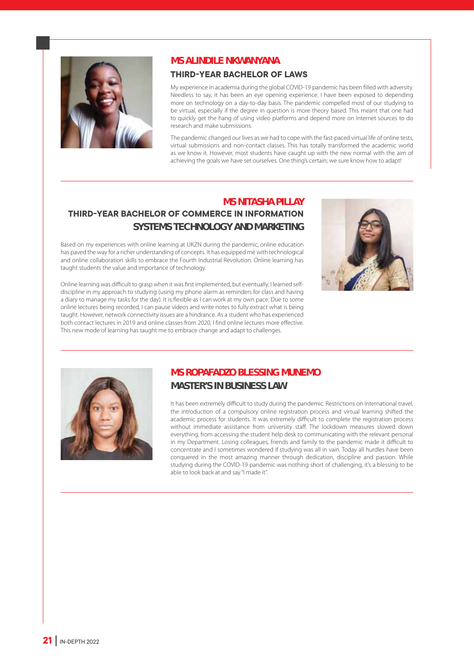

#### **MS ALINDILE NKWANYANA**

#### **THIRD-YEAR BACHELOR OF LAWS**

My experience in academia during the global COVID-19 pandemic has been filled with adversity. Needless to say, it has been an eye opening experience. I have been exposed to depending more on technology on a day-to-day basis. The pandemic compelled most of our studying to be virtual, especially if the degree in question is more theory based. This meant that one had to quickly get the hang of using video platforms and depend more on internet sources to do research and make submissions.

The pandemic changed our lives as we had to cope with the fast-paced virtual life of online tests, virtual submissions and non-contact classes. This has totally transformed the academic world as we know it. However, most students have caught up with the new normal with the aim of achieving the goals we have set ourselves. One thing's certain; we sure know how to adapt!

#### **MS NITASHA PILLAY THIRD-YEAR BACHELOR OF COMMERCE IN INFORMATION SYSTEMS TECHNOLOGY AND MARKETING**

Based on my experiences with online learning at UKZN during the pandemic, online education has paved the way for a richer understanding of concepts. It has equipped me with technological and online collaboration skills to embrace the Fourth Industrial Revolution. Online learning has taught students the value and importance of technology.

Online learning was difficult to grasp when it was first implemented, but eventually, I learned selfdiscipline in my approach to studying (using my phone alarm as reminders for class and having a diary to manage my tasks for the day). It is flexible as I can work at my own pace. Due to some online lectures being recorded, I can pause videos and write notes to fully extract what is being taught. However, network connectivity issues are a hindrance. As a student who has experienced both contact lectures in 2019 and online classes from 2020, I find online lectures more effective. This new mode of learning has taught me to embrace change and adapt to challenges.





#### **MS ROPAFADZO BLESSING MUNEMO MASTER'S IN BUSINESS LAW**

It has been extremely difficult to study during the pandemic. Restrictions on international travel, the introduction of a compulsory online registration process and virtual learning shifted the academic process for students. It was extremely difficult to complete the registration process without immediate assistance from university staff. The lockdown measures slowed down everything, from accessing the student help desk to communicating with the relevant personal in my Department. Losing colleagues, friends and family to the pandemic made it difficult to concentrate and I sometimes wondered if studying was all in vain. Today all hurdles have been conquered in the most amazing manner through dedication, discipline and passion. While studying during the COVID-19 pandemic was nothing short of challenging, it's a blessing to be able to look back at and say "I made it".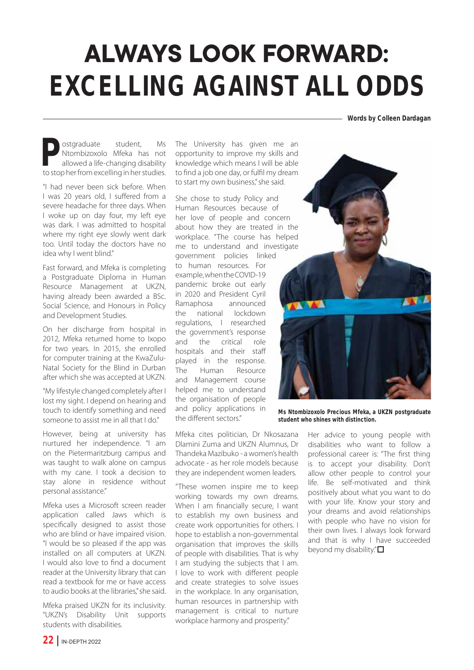# **ALWAYS LOOK FORWARD: EXCELLING AGAINST ALL ODDS**

**Words by Colleen Dardagan**

**Postgraduate** student, Ms<br>
Ntombizoxolo Mfeka has not<br>
allowed a life-changing disability<br>
to stop her from excelling in her studies. Ntombizoxolo Mfeka has not allowed a life-changing disability

"I had never been sick before. When I was 20 years old, I suffered from a severe headache for three days. When I woke up on day four, my left eye was dark. I was admitted to hospital where my right eye slowly went dark too. Until today the doctors have no idea why I went blind."

Fast forward, and Mfeka is completing a Postgraduate Diploma in Human Resource Management at UKZN, having already been awarded a BSc. Social Science, and Honours in Policy and Development Studies.

On her discharge from hospital in 2012, Mfeka returned home to Ixopo for two years. In 2015, she enrolled for computer training at the KwaZulu-Natal Society for the Blind in Durban after which she was accepted at UKZN.

"My lifestyle changed completely after I lost my sight. I depend on hearing and touch to identify something and need someone to assist me in all that I do."

However, being at university has nurtured her independence. "I am on the Pietermaritzburg campus and was taught to walk alone on campus with my cane. I took a decision to stay alone in residence without personal assistance."

Mfeka uses a Microsoft screen reader application called Jaws which is specifically designed to assist those who are blind or have impaired vision. "I would be so pleased if the app was installed on all computers at UKZN. I would also love to find a document reader at the University library that can read a textbook for me or have access to audio books at the libraries," she said.

Mfeka praised UKZN for its inclusivity. "UKZN's Disability Unit supports students with disabilities.

The University has given me an opportunity to improve my skills and knowledge which means I will be able to find a job one day, or fulfil my dream to start my own business," she said.

She chose to study Policy and Human Resources because of her love of people and concern about how they are treated in the workplace. "The course has helped me to understand and investigate

government policies linked to human resources. For example, when the COVID-19 pandemic broke out early in 2020 and President Cyril Ramaphosa announced the national lockdown regulations, I researched the government's response and the critical role hospitals and their staff played in the response. The Human Resource and Management course helped me to understand the organisation of people and policy applications in the different sectors."

Mfeka cites politician, Dr Nkosazana Dlamini Zuma and UKZN Alumnus, Dr Thandeka Mazibuko - a women's health advocate - as her role models because they are independent women leaders.

"These women inspire me to keep working towards my own dreams. When I am financially secure, I want to establish my own business and create work opportunities for others. I hope to establish a non-governmental organisation that improves the skills of people with disabilities. That is why I am studying the subjects that I am. I love to work with different people and create strategies to solve issues in the workplace. In any organisation, human resources in partnership with management is critical to nurture workplace harmony and prosperity."



**Ms Ntombizoxolo Precious Mfeka, a UKZN postgraduate student who shines with distinction.**

> Her advice to young people with disabilities who want to follow a professional career is: "The first thing is to accept your disability. Don't allow other people to control your life. Be self-motivated and think positively about what you want to do with your life. Know your story and your dreams and avoid relationships with people who have no vision for their own lives. I always look forward and that is why I have succeeded beyond my disability." $\Box$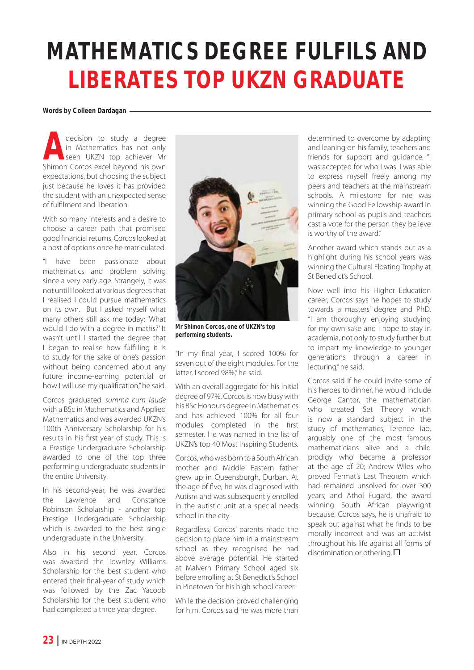## **MATHEMATICS DEGREE FULFILS AND LIBERATES TOP UKZN GRADUATE**

#### **Words by Colleen Dardagan**

**Adecision to study a degree in Mathematics has not only seen UKZN top achiever Mr Shimon Corcos excel beyond his own** in Mathematics has not only seen UKZN top achiever Mr expectations, but choosing the subject just because he loves it has provided the student with an unexpected sense of fulfilment and liberation.

With so many interests and a desire to choose a career path that promised good financial returns, Corcos looked at a host of options once he matriculated.

"I have been passionate about mathematics and problem solving since a very early age. Strangely, it was not until I looked at various degrees that I realised I could pursue mathematics on its own. But I asked myself what many others still ask me today: 'What would I do with a degree in maths?' It wasn't until I started the degree that I began to realise how fulfilling it is to study for the sake of one's passion without being concerned about any future income-earning potential or how I will use my qualification," he said.

Corcos graduated summa cum laude with a BSc in Mathematics and Applied Mathematics and was awarded UKZN's 100th Anniversary Scholarship for his results in his first year of study. This is a Prestige Undergraduate Scholarship awarded to one of the top three performing undergraduate students in the entire University.

In his second-year, he was awarded the Lawrence and Constance Robinson Scholarship - another top Prestige Undergraduate Scholarship which is awarded to the best single undergraduate in the University.

Also in his second year, Corcos was awarded the Townley Williams Scholarship for the best student who entered their final-year of study which was followed by the Zac Yacoob Scholarship for the best student who had completed a three year degree.



**Mr Shimon Corcos, one of UKZN's top performing students.**

"In my final year, I scored 100% for seven out of the eight modules. For the latter, I scored 98%," he said.

With an overall aggregate for his initial degree of 97%, Corcos is now busy with his BSc Honours degree in Mathematics and has achieved 100% for all four modules completed in the first semester. He was named in the list of UKZN's top 40 Most Inspiring Students.

Corcos, who was born to a South African mother and Middle Eastern father grew up in Queensburgh, Durban. At the age of five, he was diagnosed with Autism and was subsequently enrolled in the autistic unit at a special needs school in the city.

Regardless, Corcos' parents made the decision to place him in a mainstream school as they recognised he had above average potential. He started at Malvern Primary School aged six before enrolling at St Benedict's School in Pinetown for his high school career.

While the decision proved challenging for him, Corcos said he was more than determined to overcome by adapting and leaning on his family, teachers and friends for support and guidance. "I was accepted for who I was. I was able to express myself freely among my peers and teachers at the mainstream schools. A milestone for me was winning the Good Fellowship award in primary school as pupils and teachers cast a vote for the person they believe is worthy of the award."

Another award which stands out as a highlight during his school years was winning the Cultural Floating Trophy at St Benedict's School.

Now well into his Higher Education career, Corcos says he hopes to study towards a masters' degree and PhD. "I am thoroughly enjoying studying for my own sake and I hope to stay in academia, not only to study further but to impart my knowledge to younger generations through a career in lecturing," he said.

Corcos said if he could invite some of his heroes to dinner, he would include George Cantor, the mathematician who created Set Theory which is now a standard subject in the study of mathematics; Terence Tao, arguably one of the most famous mathematicians alive and a child prodigy who became a professor at the age of 20; Andrew Wiles who proved Fermat's Last Theorem which had remained unsolved for over 300 years; and Athol Fugard, the award winning South African playwright because, Corcos says, he is unafraid to speak out against what he finds to be morally incorrect and was an activist throughout his life against all forms of discrimination or othering.  $\square$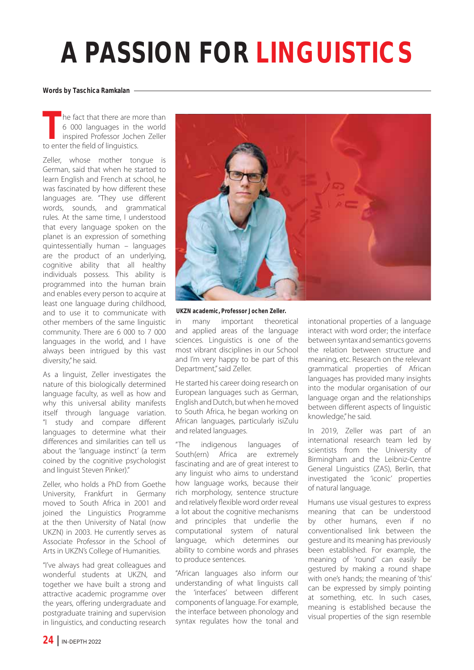# **A PASSION FOR LINGUISTICS**

#### **Words by Taschica Ramkalan**

**The fact that there are more than**<br>6 000 languages in the world<br>inspired Professor Jochen Zeller<br>to enter the field of linguistics. 6 000 languages in the world inspired Professor Jochen Zeller to enter the field of linguistics.

Zeller, whose mother tongue is German, said that when he started to learn English and French at school, he was fascinated by how different these languages are. "They use different words, sounds, and grammatical rules. At the same time, I understood that every language spoken on the planet is an expression of something quintessentially human – languages are the product of an underlying, cognitive ability that all healthy individuals possess. This ability is programmed into the human brain and enables every person to acquire at least one language during childhood, and to use it to communicate with other members of the same linguistic community. There are 6 000 to 7 000 languages in the world, and I have always been intrigued by this vast diversity," he said.

As a linguist, Zeller investigates the nature of this biologically determined language faculty, as well as how and why this universal ability manifests itself through language variation. "I study and compare different languages to determine what their differences and similarities can tell us about the 'language instinct' (a term coined by the cognitive psychologist and linguist Steven Pinker)."

Zeller, who holds a PhD from Goethe University, Frankfurt in Germany moved to South Africa in 2001 and joined the Linguistics Programme at the then University of Natal (now UKZN) in 2003. He currently serves as Associate Professor in the School of Arts in UKZN's College of Humanities.

"I've always had great colleagues and wonderful students at UKZN, and together we have built a strong and attractive academic programme over the years, offering undergraduate and postgraduate training and supervision in linguistics, and conducting research



#### **UKZN academic, Professor Jochen Zeller.**

in many important theoretical and applied areas of the language sciences. Linguistics is one of the most vibrant disciplines in our School and I'm very happy to be part of this Department," said Zeller.

He started his career doing research on European languages such as German, English and Dutch, but when he moved to South Africa, he began working on African languages, particularly isiZulu and related languages.

"The indigenous languages of South(ern) Africa are extremely fascinating and are of great interest to any linguist who aims to understand how language works, because their rich morphology, sentence structure and relatively flexible word order reveal a lot about the cognitive mechanisms and principles that underlie the computational system of natural language, which determines our ability to combine words and phrases to produce sentences.

"African languages also inform our understanding of what linguists call the 'interfaces' between different components of language. For example, the interface between phonology and syntax regulates how the tonal and intonational properties of a language interact with word order; the interface between syntax and semantics governs the relation between structure and meaning, etc. Research on the relevant grammatical properties of African languages has provided many insights into the modular organisation of our language organ and the relationships between different aspects of linguistic knowledge," he said.

In 2019, Zeller was part of an international research team led by scientists from the University of Birmingham and the Leibniz-Centre General Linguistics (ZAS), Berlin, that investigated the 'iconic' properties of natural language.

Humans use visual gestures to express meaning that can be understood by other humans, even if no conventionalised link between the gesture and its meaning has previously been established. For example, the meaning of 'round' can easily be gestured by making a round shape with one's hands; the meaning of 'this' can be expressed by simply pointing at something, etc. In such cases, meaning is established because the visual properties of the sign resemble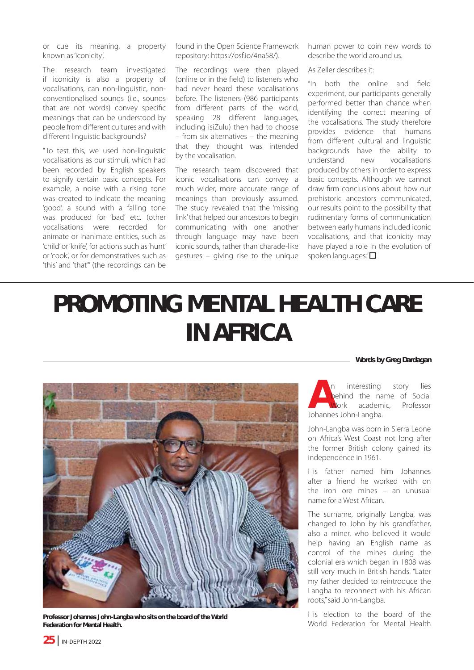or cue its meaning, a property known as 'iconicity'.

The research team investigated if iconicity is also a property of vocalisations, can non-linguistic, nonconventionalised sounds (i.e., sounds that are not words) convey specific meanings that can be understood by people from different cultures and with different linguistic backgrounds?

"To test this, we used non-linguistic vocalisations as our stimuli, which had been recorded by English speakers to signify certain basic concepts. For example, a noise with a rising tone was created to indicate the meaning 'good', a sound with a falling tone was produced for 'bad' etc. (other vocalisations were recorded for animate or inanimate entities, such as 'child' or 'knife', for actions such as 'hunt' or 'cook', or for demonstratives such as 'this' and 'that'" (the recordings can be

found in the Open Science Framework repository: https://osf.io/4na58/).

The recordings were then played (online or in the field) to listeners who had never heard these vocalisations before. The listeners (986 participants from different parts of the world, speaking 28 different languages, including isiZulu) then had to choose – from six alternatives – the meaning that they thought was intended by the vocalisation.

The research team discovered that iconic vocalisations can convey a much wider, more accurate range of meanings than previously assumed. The study revealed that the 'missing link' that helped our ancestors to begin communicating with one another through language may have been iconic sounds, rather than charade-like gestures – giving rise to the unique

human power to coin new words to describe the world around us.

As Zeller describes it:

"In both the online and field experiment, our participants generally performed better than chance when identifying the correct meaning of the vocalisations. The study therefore provides evidence that humans from different cultural and linguistic backgrounds have the ability to understand new vocalisations produced by others in order to express basic concepts. Although we cannot draw firm conclusions about how our prehistoric ancestors communicated, our results point to the possibility that rudimentary forms of communication between early humans included iconic vocalisations, and that iconicity may have played a role in the evolution of spoken languages." $\square$ 

## **PROMOTING MENTAL HEALTH CARE IN AFRICA**





**Professor Johannes John-Langba who sits on the board of the World Federation for Mental Health.**

**An** interesting story lies<br>behind the name of Social<br>Work academic, Professor<br>Johannes John-Langba. behind the name of Social Work academic, Professor Johannes John-Langba.

John-Langba was born in Sierra Leone on Africa's West Coast not long after the former British colony gained its independence in 1961.

His father named him Johannes after a friend he worked with on the iron ore mines – an unusual name for a West African.

The surname, originally Langba, was changed to John by his grandfather, also a miner, who believed it would help having an English name as control of the mines during the colonial era which began in 1808 was still very much in British hands. "Later my father decided to reintroduce the Langba to reconnect with his African roots," said John-Langba.

His election to the board of the World Federation for Mental Health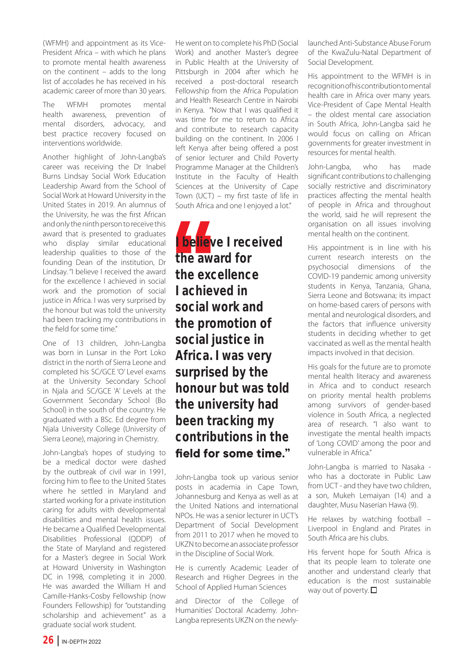(WFMH) and appointment as its Vice-President Africa – with which he plans to promote mental health awareness on the continent – adds to the long list of accolades he has received in his academic career of more than 30 years.

The WFMH promotes mental health awareness, prevention of mental disorders, advocacy, and best practice recovery focused on interventions worldwide.

Another highlight of John-Langba's career was receiving the Dr Inabel Burns Lindsay Social Work Education Leadership Award from the School of Social Work at Howard University in the United States in 2019. An alumnus of the University, he was the first African and only the ninth person to receive this award that is presented to graduates who display similar educational leadership qualities to those of the founding Dean of the institution, Dr Lindsay. "I believe I received the award for the excellence I achieved in social work and the promotion of social justice in Africa. I was very surprised by the honour but was told the university had been tracking my contributions in the field for some time."

One of 13 children, John-Langba was born in Lunsar in the Port Loko district in the north of Sierra Leone and completed his SC/GCE 'O' Level exams at the University Secondary School in Njala and SC/GCE 'A' Levels at the Government Secondary School (Bo School) in the south of the country. He graduated with a BSc. Ed degree from Njala University College (University of Sierra Leone), majoring in Chemistry.

John-Langba's hopes of studying to be a medical doctor were dashed by the outbreak of civil war in 1991, forcing him to flee to the United States where he settled in Maryland and started working for a private institution caring for adults with developmental disabilities and mental health issues. He became a Qualified Developmental Disabilities Professional (QDDP) of the State of Maryland and registered for a Master's degree in Social Work at Howard University in Washington DC in 1998, completing it in 2000. He was awarded the William H and Camille-Hanks-Cosby Fellowship (now Founders Fellowship) for "outstanding scholarship and achievement" as a graduate social work student.

He went on to complete his PhD (Social Work) and another Master's degree in Public Health at the University of Pittsburgh in 2004 after which he received a post-doctoral research Fellowship from the Africa Population and Health Research Centre in Nairobi in Kenya. "Now that I was qualified it was time for me to return to Africa and contribute to research capacity building on the continent. In 2006 I left Kenya after being offered a post of senior lecturer and Child Poverty Programme Manager at the Children's Institute in the Faculty of Health Sciences at the University of Cape Town (UCT) – my first taste of life in South Africa and one I enjoyed a lot."

**I believe I received the award for the excellence I achieved in social work and the promotion of social justice in Africa. I was very surprised by the honour but was told the university had been tracking my contributions in the**  field for some time."

John-Langba took up various senior posts in academia in Cape Town, Johannesburg and Kenya as well as at the United Nations and international NPOs. He was a senior lecturer in UCT's Department of Social Development from 2011 to 2017 when he moved to UKZN to become an associate professor in the Discipline of Social Work.

He is currently Academic Leader of Research and Higher Degrees in the School of Applied Human Sciences

and Director of the College of Humanities' Doctoral Academy. John-Langba represents UKZN on the newly-

launched Anti-Substance Abuse Forum of the KwaZulu-Natal Department of Social Development.

His appointment to the WFMH is in recognition of his contribution to mental health care in Africa over many years. Vice-President of Cape Mental Health – the oldest mental care association in South Africa, John-Langba said he would focus on calling on African governments for greater investment in resources for mental health.

John-Langba, who has made significant contributions to challenging socially restrictive and discriminatory practices affecting the mental health of people in Africa and throughout the world, said he will represent the organisation on all issues involving mental health on the continent.

His appointment is in line with his current research interests on the psychosocial dimensions of the COVID-19 pandemic among university students in Kenya, Tanzania, Ghana, Sierra Leone and Botswana; its impact on home-based carers of persons with mental and neurological disorders, and the factors that influence university students in deciding whether to get vaccinated as well as the mental health impacts involved in that decision.

His goals for the future are to promote mental health literacy and awareness in Africa and to conduct research on priority mental health problems among survivors of gender-based violence in South Africa, a neglected area of research. "I also want to investigate the mental health impacts of 'Long COVID' among the poor and vulnerable in Africa."

John-Langba is married to Nasaka who has a doctorate in Public Law from UCT - and they have two children, a son, Mukeh Lemaiyan (14) and a daughter, Musu Naserian Hawa (9).

He relaxes by watching football – Liverpool in England and Pirates in South Africa are his clubs.

His fervent hope for South Africa is that its people learn to tolerate one another and understand clearly that education is the most sustainable way out of poverty.  $\square$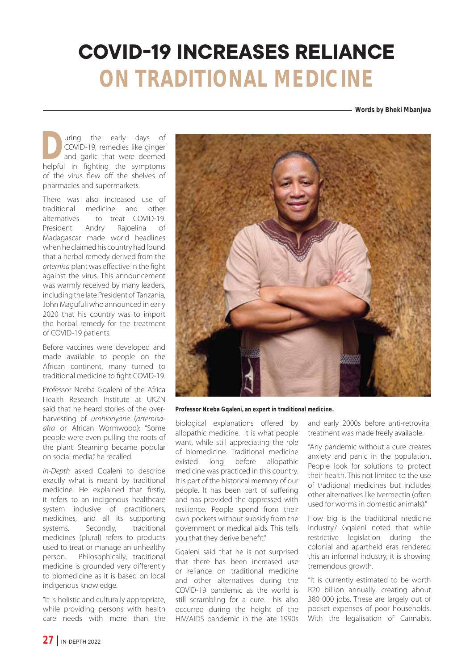### **COVID-19 INCREASES RELIANCE ON TRADITIONAL MEDICINE**

**Words by Bheki Mbanjwa**

**D**uring the early days of COVID-19, remedies like ginger and garlic that were deemed helpful in fighting the symptoms COVID-19, remedies like ginger and garlic that were deemed of the virus flew off the shelves of pharmacies and supermarkets.

There was also increased use of traditional medicine and other alternatives to treat COVID-19.<br>President Andry Raioelina of President Andry Rajoelina of Madagascar made world headlines when he claimed his country had found that a herbal remedy derived from the artemisa plant was effective in the fight against the virus. This announcement was warmly received by many leaders, including the late President of Tanzania, John Magufuli who announced in early 2020 that his country was to import the herbal remedy for the treatment of COVID-19 patients.

Before vaccines were developed and made available to people on the African continent, many turned to traditional medicine to fight COVID-19.

Professor Nceba Gqaleni of the Africa Health Research Institute at UKZN said that he heard stories of the overharvesting of umhlonyane (artemisaafra or African Wormwood): "Some people were even pulling the roots of the plant. Steaming became popular on social media," he recalled.

In-Depth asked Gqaleni to describe exactly what is meant by traditional medicine. He explained that firstly, it refers to an indigenous healthcare system inclusive of practitioners, medicines, and all its supporting systems. Secondly, traditional medicines (plural) refers to products used to treat or manage an unhealthy person. Philosophically, traditional medicine is grounded very differently to biomedicine as it is based on local indigenous knowledge.

"It is holistic and culturally appropriate, while providing persons with health care needs with more than the



**Professor Nceba Gqaleni, an expert in traditional medicine.**

biological explanations offered by allopathic medicine. It is what people want, while still appreciating the role of biomedicine. Traditional medicine<br>existed long before allopathic existed long before allopathic medicine was practiced in this country. It is part of the historical memory of our people. It has been part of suffering and has provided the oppressed with resilience. People spend from their own pockets without subsidy from the government or medical aids. This tells you that they derive benefit."

Gqaleni said that he is not surprised that there has been increased use or reliance on traditional medicine and other alternatives during the COVID-19 pandemic as the world is still scrambling for a cure. This also occurred during the height of the HIV/AIDS pandemic in the late 1990s

and early 2000s before anti-retroviral treatment was made freely available.

"Any pandemic without a cure creates anxiety and panic in the population. People look for solutions to protect their health. This not limited to the use of traditional medicines but includes other alternatives like ivermectin (often used for worms in domestic animals)."

How big is the traditional medicine industry? Gqaleni noted that while restrictive legislation during the colonial and apartheid eras rendered this an informal industry, it is showing tremendous growth.

"It is currently estimated to be worth R20 billion annually, creating about 380 000 jobs. These are largely out of pocket expenses of poor households. With the legalisation of Cannabis,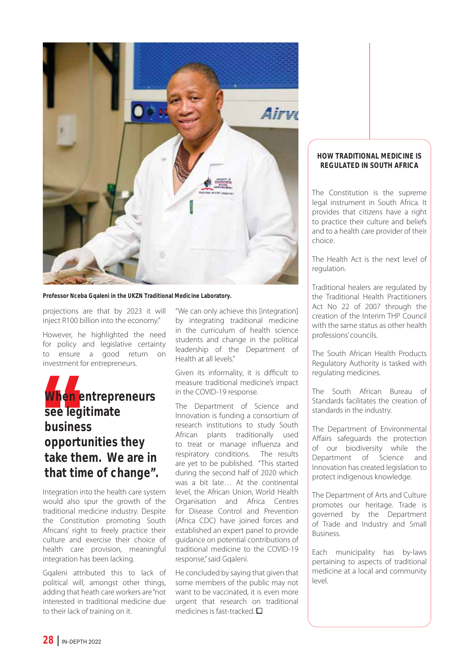

**Professor Nceba Gqaleni in the UKZN Traditional Medicine Laboratory.**

projections are that by 2023 it will inject R100 billion into the economy."

However, he highlighted the need for policy and legislative certainty to ensure a good return on investment for entrepreneurs.



Integration into the health care system would also spur the growth of the traditional medicine industry. Despite the Constitution promoting South Africans' right to freely practice their culture and exercise their choice of health care provision, meaningful integration has been lacking.

Gqaleni attributed this to lack of political will, amongst other things, adding that heath care workers are "not interested in traditional medicine due to their lack of training on it.

"We can only achieve this [integration] by integrating traditional medicine in the curriculum of health science students and change in the political leadership of the Department of Health at all levels."

Given its informality, it is difficult to measure traditional medicine's impact in the COVID-19 response.

The Department of Science and Innovation is funding a consortium of research institutions to study South African plants traditionally used to treat or manage influenza and respiratory conditions. The results are yet to be published. "This started during the second half of 2020 which was a bit late… At the continental level, the African Union, World Health Organisation and Africa Centres for Disease Control and Prevention (Africa CDC) have joined forces and established an expert panel to provide guidance on potential contributions of traditional medicine to the COVID-19 response," said Gqaleni.

He concluded by saying that given that some members of the public may not want to be vaccinated, it is even more urgent that research on traditional medicines is fast-tracked.  $\square$ 

#### **HOW TRADITIONAL MEDICINE IS REGULATED IN SOUTH AFRICA**

The Constitution is the supreme legal instrument in South Africa. It provides that citizens have a right to practice their culture and beliefs and to a health care provider of their choice.

The Health Act is the next level of regulation.

Traditional healers are regulated by the Traditional Health Practitioners Act No 22 of 2007 through the creation of the Interim THP Council with the same status as other health professions' councils.

The South African Health Products Regulatory Authority is tasked with regulating medicines.

The South African Bureau of Standards facilitates the creation of standards in the industry.

The Department of Environmental Affairs safeguards the protection of our biodiversity while the Department of Science and Innovation has created legislation to protect indigenous knowledge.

The Department of Arts and Culture promotes our heritage. Trade is governed by the Department of Trade and Industry and Small Business.

Each municipality has by-laws pertaining to aspects of traditional medicine at a local and community level.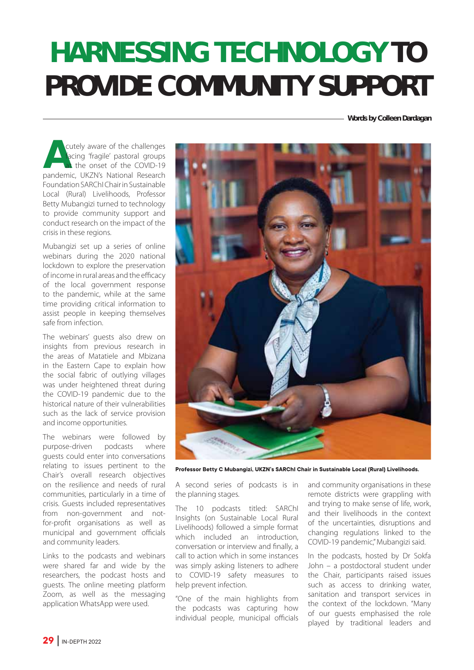# **HARNESSING TECHNOLOGY TO PROVIDE COMMUNITY SUPPORT**

**Words by Colleen Dardagan**

**Acutely aware of the challenges facing 'fragile' pastoral groups at the onset of the COVID-19 pandemic, UKZN's National Research** facing 'fragile' pastoral groups at the onset of the COVID-19 Foundation SARChI Chair in Sustainable Local (Rural) Livelihoods, Professor Betty Mubangizi turned to technology to provide community support and conduct research on the impact of the crisis in these regions.

Mubangizi set up a series of online webinars during the 2020 national lockdown to explore the preservation of income in rural areas and the efficacy of the local government response to the pandemic, while at the same time providing critical information to assist people in keeping themselves safe from infection.

The webinars' guests also drew on insights from previous research in the areas of Matatiele and Mbizana in the Eastern Cape to explain how the social fabric of outlying villages was under heightened threat during the COVID-19 pandemic due to the historical nature of their vulnerabilities such as the lack of service provision and income opportunities.

The webinars were followed by purpose-driven podcasts where guests could enter into conversations relating to issues pertinent to the Chair's overall research objectives on the resilience and needs of rural communities, particularly in a time of crisis. Guests included representatives from non-government and notfor-profit organisations as well as municipal and government officials and community leaders.

Links to the podcasts and webinars were shared far and wide by the researchers, the podcast hosts and guests. The online meeting platform Zoom, as well as the messaging application WhatsApp were used.



**Professor Betty C Mubangizi, UKZN's SARChI Chair in Sustainable Local (Rural) Livelihoods.** 

A second series of podcasts is in the planning stages.

The 10 podcasts titled: SARChI Insights (on Sustainable Local Rural Livelihoods) followed a simple format which included an introduction, conversation or interview and finally, a call to action which in some instances was simply asking listeners to adhere to COVID-19 safety measures to help prevent infection.

"One of the main highlights from the podcasts was capturing how individual people, municipal officials

and community organisations in these remote districts were grappling with and trying to make sense of life, work, and their livelihoods in the context of the uncertainties, disruptions and changing regulations linked to the COVID-19 pandemic," Mubangizi said.

In the podcasts, hosted by Dr Sokfa John – a postdoctoral student under the Chair, participants raised issues such as access to drinking water, sanitation and transport services in the context of the lockdown. "Many of our guests emphasised the role played by traditional leaders and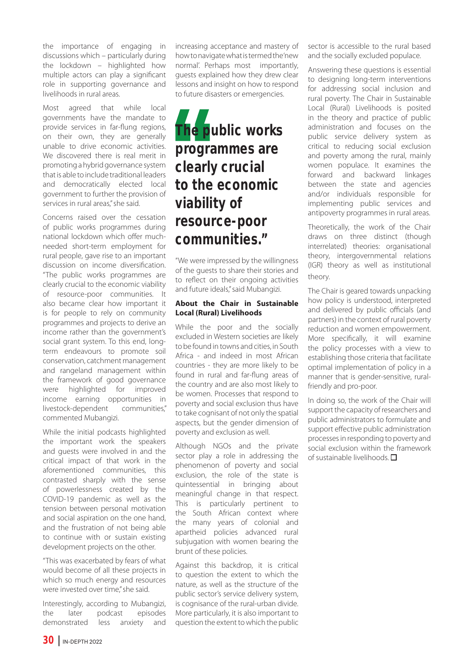the importance of engaging in discussions which – particularly during the lockdown – highlighted how multiple actors can play a significant role in supporting governance and livelihoods in rural areas.

Most agreed that while local governments have the mandate to provide services in far-flung regions, on their own, they are generally unable to drive economic activities. We discovered there is real merit in promoting a hybrid governance system that is able to include traditional leaders and democratically elected local government to further the provision of services in rural areas," she said.

Concerns raised over the cessation of public works programmes during national lockdown which offer muchneeded short-term employment for rural people, gave rise to an important discussion on income diversification. "The public works programmes are clearly crucial to the economic viability of resource-poor communities. It also became clear how important it is for people to rely on community programmes and projects to derive an income rather than the government's social grant system. To this end, longterm endeavours to promote soil conservation, catchment management and rangeland management within the framework of good governance were highlighted for improved income earning opportunities in livestock-dependent communities," commented Mubangizi.

While the initial podcasts highlighted the important work the speakers and guests were involved in and the critical impact of that work in the aforementioned communities, this contrasted sharply with the sense of powerlessness created by the COVID-19 pandemic as well as the tension between personal motivation and social aspiration on the one hand, and the frustration of not being able to continue with or sustain existing development projects on the other.

"This was exacerbated by fears of what would become of all these projects in which so much energy and resources were invested over time," she said.

Interestingly, according to Mubangizi, the later podcast episodes demonstrated less anxiety and

increasing acceptance and mastery of how to navigate what is termed the 'new normal'. Perhaps most importantly, guests explained how they drew clear lessons and insight on how to respond to future disasters or emergencies.

### **The public works programmes are clearly crucial to the economic viability of resource-poor communities."**

"We were impressed by the willingness of the guests to share their stories and to reflect on their ongoing activities and future ideals," said Mubangizi.

#### **About the Chair in Sustainable Local (Rural) Livelihoods**

While the poor and the socially excluded in Western societies are likely to be found in towns and cities, in South Africa - and indeed in most African countries - they are more likely to be found in rural and far-flung areas of the country and are also most likely to be women. Processes that respond to poverty and social exclusion thus have to take cognisant of not only the spatial aspects, but the gender dimension of poverty and exclusion as well.

Although NGOs and the private sector play a role in addressing the phenomenon of poverty and social exclusion, the role of the state is quintessential in bringing about meaningful change in that respect. This is particularly pertinent to the South African context where the many years of colonial and apartheid policies advanced rural subjugation with women bearing the brunt of these policies.

Against this backdrop, it is critical to question the extent to which the nature, as well as the structure of the public sector's service delivery system, is cognisance of the rural-urban divide. More particularly, it is also important to question the extent to which the public sector is accessible to the rural based and the socially excluded populace.

Answering these questions is essential to designing long-term interventions for addressing social inclusion and rural poverty. The Chair in Sustainable Local (Rural) Livelihoods is posited in the theory and practice of public administration and focuses on the public service delivery system as critical to reducing social exclusion and poverty among the rural, mainly women populace. It examines the forward and backward linkages between the state and agencies and/or individuals responsible for implementing public services and antipoverty programmes in rural areas.

Theoretically, the work of the Chair draws on three distinct (though interrelated) theories: organisational theory, intergovernmental relations (IGR) theory as well as institutional theory.

The Chair is geared towards unpacking how policy is understood, interpreted and delivered by public officials (and partners) in the context of rural poverty reduction and women empowerment. More specifically, it will examine the policy processes with a view to establishing those criteria that facilitate optimal implementation of policy in a manner that is gender-sensitive, ruralfriendly and pro-poor.

In doing so, the work of the Chair will support the capacity of researchers and public administrators to formulate and support effective public administration processes in responding to poverty and social exclusion within the framework of sustainable livelihoods.  $\square$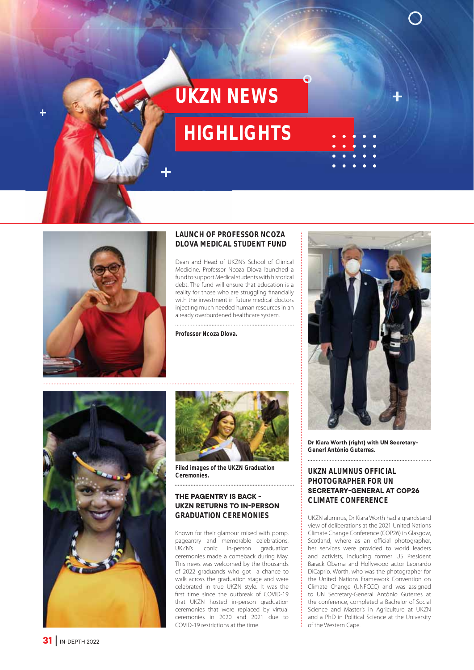## **UKZN NEWS**

### **HIGHLIGHTS**



#### **LAUNCH OF PROFESSOR NCOZA DLOVA MEDICAL STUDENT FUND**

Dean and Head of UKZN's School of Clinical Medicine, Professor Ncoza Dlova launched a fund to support Medical students with historical debt. The fund will ensure that education is a reality for those who are struggling financially with the investment in future medical doctors injecting much needed human resources in an already overburdened healthcare system.

**Professor Ncoza Dlova.**





**Filed images of the UKZN Graduation** 

#### **THE PAGENTRY IS BACK -UKZN RETURNS TO IN-PERSON GRADUATION CEREMONIES**

Known for their glamour mixed with pomp, pageantry and memorable celebrations, UKZN's iconic in-person graduation ceremonies made a comeback during May. This news was welcomed by the thousands of 2022 graduands who got a chance to walk across the graduation stage and were celebrated in true UKZN style. It was the first time since the outbreak of COVID-19 that UKZN hosted in-person graduation ceremonies that were replaced by virtual ceremonies in 2020 and 2021 due to COVID-19 restrictions at the time.



**Dr Kiara Worth (right) with UN Secretary-Generl António Guterres.**

#### **UKZN ALUMNUS OFFICIAL PHOTOGRAPHER FOR UN SECRETARY-GENERAL AT COP26 CLIMATE CONFERENCE**

UKZN alumnus, Dr Kiara Worth had a grandstand view of deliberations at the 2021 United Nations Climate Change Conference (COP26) in Glasgow, Scotland, where as an official photographer, her services were provided to world leaders and activists, including former US President Barack Obama and Hollywood actor Leonardo DiCaprio. Worth, who was the photographer for the United Nations Framework Convention on Climate Change (UNFCCC) and was assigned to UN Secretary-General António Guterres at the conference, completed a Bachelor of Social Science and Master's in Agriculture at UKZN and a PhD in Political Science at the University of the Western Cape.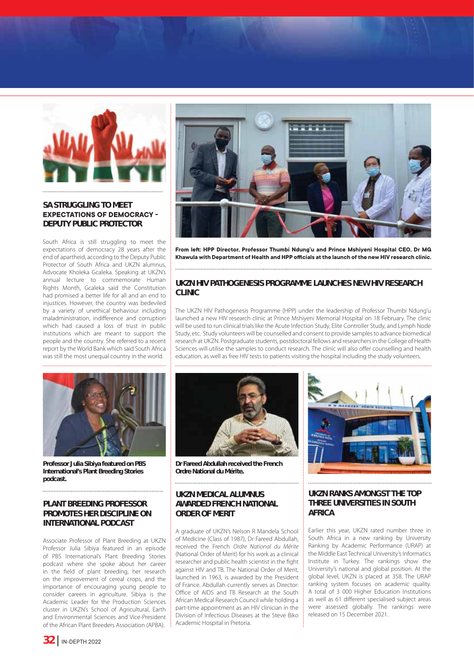

#### **SA STRUGGLING TO MEET EXPECTATIONS OF DEMOCRACY -DEPUTY PUBLIC PROTECTOR**

South Africa is still struggling to meet the expectations of democracy 28 years after the end of apartheid, according to the Deputy Public Protector of South Africa and UKZN alumnus, Advocate Kholeka Gcaleka. Speaking at UKZN's annual lecture to commemorate Human Rights Month, Gcaleka said the Constitution had promised a better life for all and an end to injustices. However, the country was bedeviled by a variety of unethical behaviour including maladministration, indifference and corruption which had caused a loss of trust in public institutions which are meant to support the people and the country. She referred to a recent report by the World Bank which said South Africa was still the most unequal country in the world.



**Professor Julia Sibiya featured on PBS International's Plant Breeding Stories podcast.**

#### **PLANT BREEDING PROFESSOR PROMOTES HER DISCIPLINE ON INTERNATIONAL PODCAST**

Associate Professor of Plant Breeding at UKZN Professor Julia Sibiya featured in an episode of PBS International's Plant Breeding Stories podcast where she spoke about her career in the field of plant breeding, her research on the improvement of cereal crops, and the importance of encouraging young people to consider careers in agriculture. Sibiya is the Academic Leader for the Production Sciences cluster in UKZN's School of Agricultural, Earth and Environmental Sciences and Vice-President of the African Plant Breeders Association (APBA).



From left: HPP Director, Professor Thumbi Ndung'u and Prince Mshiyeni Hospital CEO, Dr MG Khawula with Department of Health and HPP officials at the launch of the new HIV research clinic.

#### **UKZN HIV PATHOGENESIS PROGRAMME LAUNCHES NEW HIV RESEARCH CLINIC**

The UKZN HIV Pathogenesis Programme (HPP) under the leadership of Professor Thumbi Ndung'u launched a new HIV research clinic at Prince Mshiyeni Memorial Hospital on 18 February. The clinic will be used to run clinical trials like the Acute Infection Study, Elite Controller Study, and Lymph Node Study, etc. Study volunteers will be counselled and consent to provide samples to advance biomedical research at UKZN. Postgraduate students, postdoctoral fellows and researchers in the College of Health Sciences will utilise the samples to conduct research. The clinic will also offer counselling and health education, as well as free HIV tests to patients visiting the hospital including the study volunteers.



**Dr Fareed Abdullah received the French**  *Ordre National du Mérite.*

#### **UKZN MEDICAL ALUMNUS AWARDED FRENCH NATIONAL ORDER OF MERIT**

A graduate of UKZN's Nelson R Mandela School of Medicine (Class of 1987), Dr Fareed Abdullah, received the French Ordre National du Mérite (National Order of Merit) for his work as a clinical researcher and public health scientist in the fight against HIV and TB. The National Order of Merit, launched in 1963, is awarded by the President of France. Abdullah currently serves as Director: Office of AIDS and TB Research at the South African Medical Research Council while holding a part-time appointment as an HIV clinician in the Division of Infectious Diseases at the Steve Biko Academic Hospital in Pretoria.



#### **UKZN RANKS AMONGST THE TOP THREE UNIVERSITIES IN SOUTH AFRICA**

Earlier this year, UKZN rated number three in South Africa in a new ranking by University Ranking by Academic Performance (URAP) at the Middle East Technical University's Informatics Institute in Turkey. The rankings show the University's national and global position. At the global level, UKZN is placed at 358. The URAP ranking system focuses on academic quality. A total of 3 000 Higher Education Institutions as well as 61 different specialised subject areas were assessed globally. The rankings were released on 15 December 2021.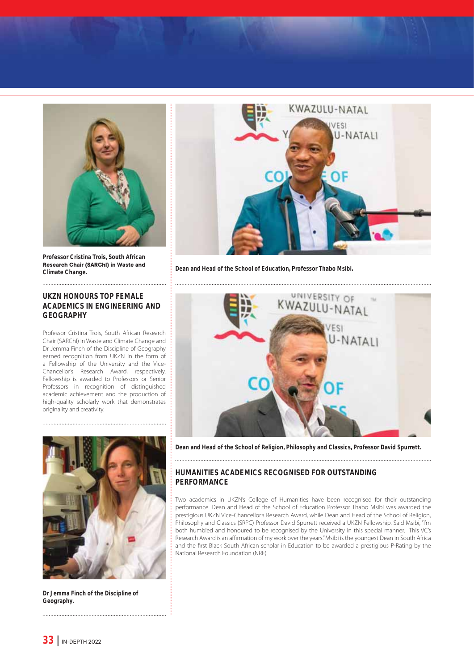

**Professor Cristina Trois, South African Research Chair (SARChI) in Waste and Climate Change.**

#### **UKZN HONOURS TOP FEMALE ACADEMICS IN ENGINEERING AND GEOGRAPHY**

Professor Cristina Trois, South African Research Chair (SARChI) in Waste and Climate Change and Dr Jemma Finch of the Discipline of Geography earned recognition from UKZN in the form of a Fellowship of the University and the Vice-Chancellor's Research Award, respectively. Fellowship is awarded to Professors or Senior Professors in recognition of distinguished academic achievement and the production of high-quality scholarly work that demonstrates originality and creativity.



**Dr Jemma Finch of the Discipline of Geography.**



**Dean and Head of the School of Education, Professor Thabo Msibi.**



**Dean and Head of the School of Religion, Philosophy and Classics, Professor David Spurrett.**

#### **HUMANITIES ACADEMICS RECOGNISED FOR OUTSTANDING PERFORMANCE**

Two academics in UKZN's College of Humanities have been recognised for their outstanding performance. Dean and Head of the School of Education Professor Thabo Msibi was awarded the prestigious UKZN Vice-Chancellor's Research Award, while Dean and Head of the School of Religion, Philosophy and Classics (SRPC) Professor David Spurrett received a UKZN Fellowship. Said Msibi, "I'm both humbled and honoured to be recognised by the University in this special manner. This VC's Research Award is an affirmation of my work over the years." Msibi is the youngest Dean in South Africa and the first Black South African scholar in Education to be awarded a prestigious P-Rating by the National Research Foundation (NRF).